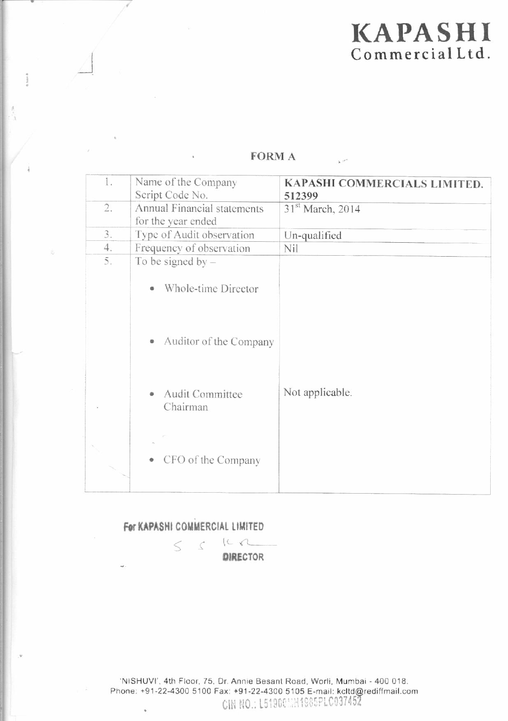# **KAPASHI** Commercial Ltd.

| 1. | Name of the Company              | KAPASHI COMMERCIALS LIMITED. |
|----|----------------------------------|------------------------------|
|    | Script Code No.                  | 512399                       |
| 2. | Annual Financial statements      | 31 <sup>st</sup> March, 2014 |
|    | for the year ended               |                              |
| 3. | Type of Audit observation        | Un-qualified                 |
| 4. | Frequency of observation         | Nil                          |
| 5. | To be signed by $-$              |                              |
|    | Whole-time Director<br>۰         |                              |
|    | Auditor of the Company<br>۰      |                              |
|    | Audit Committee<br>۰<br>Chairman | Not applicable.              |
|    | • CFO of the Company             |                              |

# **FORM A**

For KAPASHI COMMERCIAL LIMITED

 $\leq$ 

 $IC2$  $\mathcal{L}$ **DIRECTOR**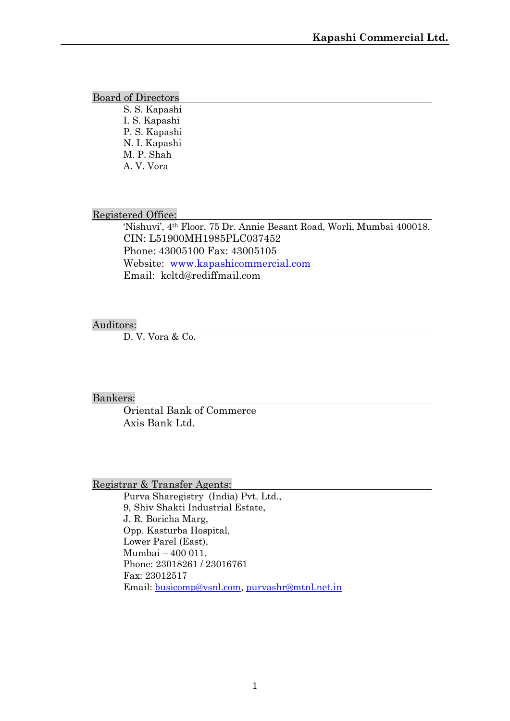#### Board of Directors

S. S. Kapashi I. S. Kapashi P. S. Kapashi N. I. Kapashi M. P. Shah A. V. Vora

### Registered Office:

'Nishuvi', 4th Floor, 75 Dr. Annie Besant Road, Worli, Mumbai 400018. CIN: L51900MH1985PLC037452 Phone: 43005100 Fax: 43005105 Website: www.kapashicommercial.com Email: kcltd@rediffmail.com

### Auditors:

D. V. Vora & Co.

Bankers:

Oriental Bank of Commerce Axis Bank Ltd.

Registrar & Transfer Agents:

Purva Sharegistry (India) Pvt. Ltd., 9, Shiv Shakti Industrial Estate, J. R. Boricha Marg, Opp. Kasturba Hospital, Lower Parel (East), Mumbai – 400 011. Phone: 23018261 / 23016761 Fax: 23012517 Email: busicomp@vsnl.com, purvashr@mtnl.net.in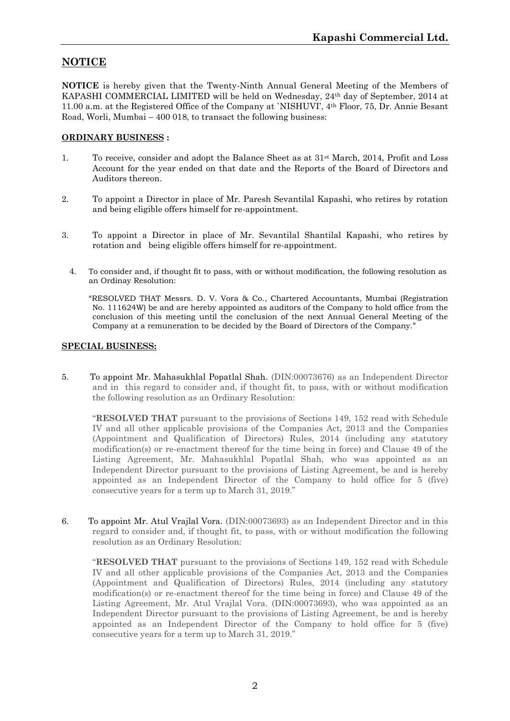# **NOTICE**

**NOTICE** is hereby given that the Twenty-Ninth Annual General Meeting of the Members of KAPASHI COMMERCIAL LIMITED will be held on Wednesday, 24th day of September, 2014 at 11.00 a.m. at the Registered Office of the Company at `NISHUVI', 4th Floor, 75, Dr. Annie Besant Road, Worli, Mumbai – 400 018, to transact the following business:

#### **ORDINARY BUSINESS :**

- 1. To receive, consider and adopt the Balance Sheet as at 31st March, 2014, Profit and Loss Account for the year ended on that date and the Reports of the Board of Directors and Auditors thereon.
- 2. To appoint a Director in place of Mr. Paresh Sevantilal Kapashi, who retires by rotation and being eligible offers himself for re-appointment.
- 3. To appoint a Director in place of Mr. Sevantilal Shantilal Kapashi, who retires by rotation and being eligible offers himself for re-appointment.
	- 4. To consider and, if thought fit to pass, with or without modification, the following resolution as an Ordinay Resolution:

"RESOLVED THAT Messrs. D. V. Vora & Co., Chartered Accountants, Mumbai (Registration No. 111624W) be and are hereby appointed as auditors of the Company to hold office from the conclusion of this meeting until the conclusion of the next Annual General Meeting of the Company at a remuneration to be decided by the Board of Directors of the Company."

#### **SPECIAL BUSINESS:**

5. To appoint Mr. Mahasukhlal Popatlal Shah. (DIN:00073676) as an Independent Director and in this regard to consider and, if thought fit, to pass, with or without modification the following resolution as an Ordinary Resolution:

"**RESOLVED THAT** pursuant to the provisions of Sections 149, 152 read with Schedule IV and all other applicable provisions of the Companies Act, 2013 and the Companies (Appointment and Qualification of Directors) Rules, 2014 (including any statutory modification(s) or re-enactment thereof for the time being in force) and Clause 49 of the Listing Agreement, Mr. Mahasukhlal Popatlal Shah, who was appointed as an Independent Director pursuant to the provisions of Listing Agreement, be and is hereby appointed as an Independent Director of the Company to hold office for 5 (five) consecutive years for a term up to March 31, 2019."

6. To appoint Mr. Atul Vrajlal Vora. (DIN:00073693) as an Independent Director and in this regard to consider and, if thought fit, to pass, with or without modification the following resolution as an Ordinary Resolution:

"**RESOLVED THAT** pursuant to the provisions of Sections 149, 152 read with Schedule IV and all other applicable provisions of the Companies Act, 2013 and the Companies (Appointment and Qualification of Directors) Rules, 2014 (including any statutory modification(s) or re-enactment thereof for the time being in force) and Clause 49 of the Listing Agreement, Mr. Atul Vrajlal Vora. (DIN:00073693), who was appointed as an Independent Director pursuant to the provisions of Listing Agreement, be and is hereby appointed as an Independent Director of the Company to hold office for 5 (five) consecutive years for a term up to March 31, 2019."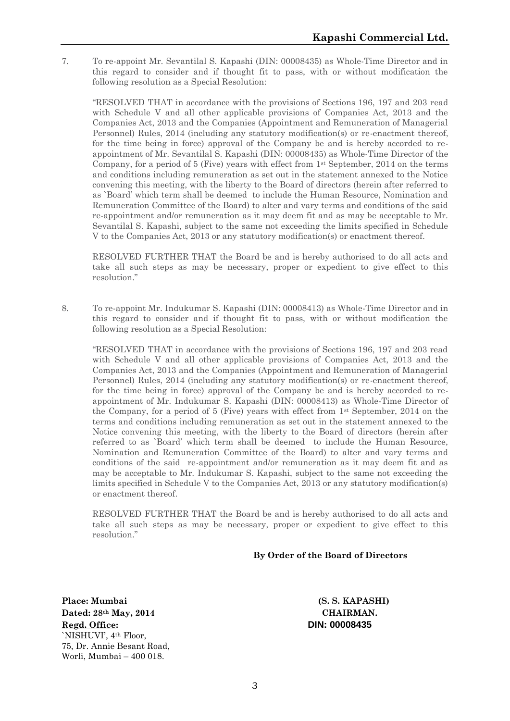7. To re-appoint Mr. Sevantilal S. Kapashi (DIN: 00008435) as Whole-Time Director and in this regard to consider and if thought fit to pass, with or without modification the following resolution as a Special Resolution:

"RESOLVED THAT in accordance with the provisions of Sections 196, 197 and 203 read with Schedule V and all other applicable provisions of Companies Act, 2013 and the Companies Act, 2013 and the Companies (Appointment and Remuneration of Managerial Personnel) Rules, 2014 (including any statutory modification(s) or re-enactment thereof, for the time being in force) approval of the Company be and is hereby accorded to re appointment of Mr. Sevantilal S. Kapashi (DIN: 00008435) as Whole-Time Director of the Company, for a period of 5 (Five) years with effect from 1st September, 2014 on the terms and conditions including remuneration as set out in the statement annexed to the Notice convening this meeting, with the liberty to the Board of directors (herein after referred to as `Board' which term shall be deemed to include the Human Resource, Nomination and Remuneration Committee of the Board) to alter and vary terms and conditions of the said re-appointment and/or remuneration as it may deem fit and as may be acceptable to Mr. Sevantilal S. Kapashi, subject to the same not exceeding the limits specified in Schedule V to the Companies Act, 2013 or any statutory modification(s) or enactment thereof.

RESOLVED FURTHER THAT the Board be and is hereby authorised to do all acts and take all such steps as may be necessary, proper or expedient to give effect to this resolution."

8. To re-appoint Mr. Indukumar S. Kapashi (DIN: 00008413) as Whole-Time Director and in this regard to consider and if thought fit to pass, with or without modification the following resolution as a Special Resolution:

"RESOLVED THAT in accordance with the provisions of Sections 196, 197 and 203 read with Schedule V and all other applicable provisions of Companies Act, 2013 and the Companies Act, 2013 and the Companies (Appointment and Remuneration of Managerial Personnel) Rules, 2014 (including any statutory modification(s) or re-enactment thereof, for the time being in force) approval of the Company be and is hereby accorded to re appointment of Mr. Indukumar S. Kapashi (DIN: 00008413) as Whole-Time Director of the Company, for a period of 5 (Five) years with effect from 1st September, 2014 on the terms and conditions including remuneration as set out in the statement annexed to the Notice convening this meeting, with the liberty to the Board of directors (herein after referred to as `Board' which term shall be deemed to include the Human Resource, Nomination and Remuneration Committee of the Board) to alter and vary terms and conditions of the said re-appointment and/or remuneration as it may deem fit and as may be acceptable to Mr. Indukumar S. Kapashi, subject to the same not exceeding the limits specified in Schedule V to the Companies Act, 2013 or any statutory modification(s) or enactment thereof.

RESOLVED FURTHER THAT the Board be and is hereby authorised to do all acts and take all such steps as may be necessary, proper or expedient to give effect to this resolution."

#### **By Order of the Board of Directors**

**Place: Mumbai (S. S. KAPASHI) Dated: 28th May, 2014 CHAIRMAN. Regd. Office: DIN: 00008435** `NISHUVI', 4th Floor, 75, Dr. Annie Besant Road, Worli, Mumbai – 400 018.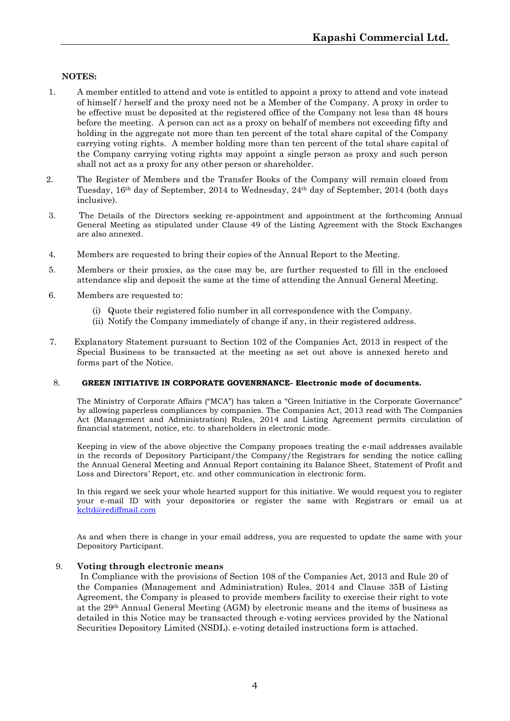#### **NOTES:**

- 1. A member entitled to attend and vote is entitled to appoint a proxy to attend and vote instead of himself / herself and the proxy need not be a Member of the Company. A proxy in order to be effective must be deposited at the registered office of the Company not less than 48 hours before the meeting. A person can act as a proxy on behalf of members not exceeding fifty and holding in the aggregate not more than ten percent of the total share capital of the Company carrying voting rights. A member holding more than ten percent of the total share capital of the Company carrying voting rights may appoint a single person as proxy and such person shall not act as a proxy for any other person or shareholder.
- 2. The Register of Members and the Transfer Books of the Company will remain closed from Tuesday, 16th day of September, 2014 to Wednesday, 24th day of September, 2014 (both days inclusive).
- 3. The Details of the Directors seeking re-appointment and appointment at the forthcoming Annual General Meeting as stipulated under Clause 49 of the Listing Agreement with the Stock Exchanges are also annexed.
- 4. Members are requested to bring their copies of the Annual Report to the Meeting.
- 5. Members or their proxies, as the case may be, are further requested to fill in the enclosed attendance slip and deposit the same at the time of attending the Annual General Meeting.
- 6. Members are requested to:
	- (i) Quote their registered folio number in all correspondence with the Company.
	- (ii) Notify the Company immediately of change if any, in their registered address.
- 7. Explanatory Statement pursuant to Section 102 of the Companies Act, 2013 in respect of the Special Business to be transacted at the meeting as set out above is annexed hereto and forms part of the Notice.

#### 8. **GREEN INITIATIVE IN CORPORATE GOVENRNANCE- Electronic mode of documents.**

The Ministry of Corporate Affairs ("MCA") has taken a "Green Initiative in the Corporate Governance" by allowing paperless compliances by companies. The Companies Act, 2013 read with The Companies Act (Management and Administration) Rules, 2014 and Listing Agreement permits circulation of financial statement, notice, etc. to shareholders in electronic mode.

Keeping in view of the above objective the Company proposes treating the e-mail addresses available in the records of Depository Participant/the Company/the Registrars for sending the notice calling the Annual General Meeting and Annual Report containing its Balance Sheet, Statement of Profit and Loss and Directors' Report, etc. and other communication in electronic form.

In this regard we seek your whole hearted support for this initiative. We would request you to register your e-mail ID with your depositories or register the same with Registrars or email us at kcltd@rediffmail.com

As and when there is change in your email address, you are requested to update the same with your Depository Participant.

#### 9. **Voting through electronic means**

In Compliance with the provisions of Section 108 of the Companies Act, 2013 and Rule 20 of the Companies (Management and Administration) Rules, 2014 and Clause 35B of Listing Agreement, the Company is pleased to provide members facility to exercise their right to vote at the 29th Annual General Meeting (AGM) by electronic means and the items of business as detailed in this Notice may be transacted through e-voting services provided by the National Securities Depository Limited (NSDL). e-voting detailed instructions form is attached.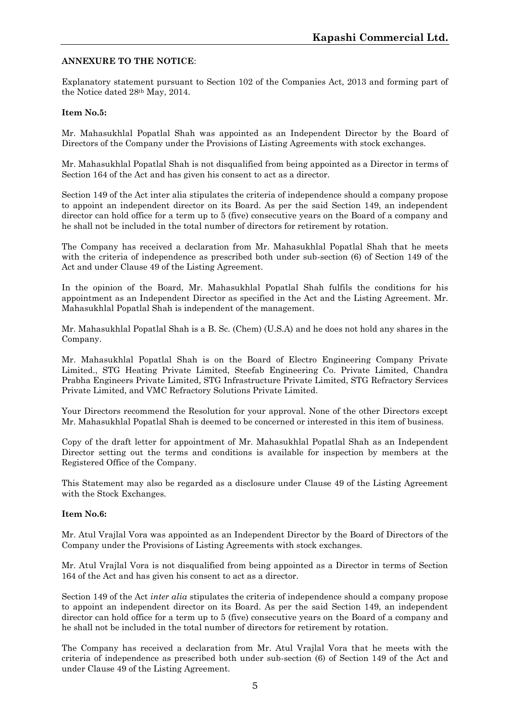#### **ANNEXURE TO THE NOTICE**:

Explanatory statement pursuant to Section 102 of the Companies Act, 2013 and forming part of the Notice dated 28th May, 2014.

#### **Item No.5:**

Mr. Mahasukhlal Popatlal Shah was appointed as an Independent Director by the Board of Directors of the Company under the Provisions of Listing Agreements with stock exchanges.

Mr. Mahasukhlal Popatlal Shah is not disqualified from being appointed as a Director in terms of Section 164 of the Act and has given his consent to act as a director.

Section 149 of the Act inter alia stipulates the criteria of independence should a company propose to appoint an independent director on its Board. As per the said Section 149, an independent director can hold office for a term up to 5 (five) consecutive years on the Board of a company and he shall not be included in the total number of directors for retirement by rotation.

The Company has received a declaration from Mr. Mahasukhlal Popatlal Shah that he meets with the criteria of independence as prescribed both under sub-section (6) of Section 149 of the Act and under Clause 49 of the Listing Agreement.

In the opinion of the Board, Mr. Mahasukhlal Popatlal Shah fulfils the conditions for his appointment as an Independent Director as specified in the Act and the Listing Agreement. Mr. Mahasukhlal Popatlal Shah is independent of the management.

Mr. Mahasukhlal Popatlal Shah is a B. Sc. (Chem) (U.S.A) and he does not hold any shares in the Company.

Mr. Mahasukhlal Popatlal Shah is on the Board of Electro Engineering Company Private Limited., STG Heating Private Limited, Steefab Engineering Co. Private Limited, Chandra Prabha Engineers Private Limited, STG Infrastructure Private Limited, STG Refractory Services Private Limited, and VMC Refractory Solutions Private Limited.

Your Directors recommend the Resolution for your approval. None of the other Directors except Mr. Mahasukhlal Popatlal Shah is deemed to be concerned or interested in this item of business.

Copy of the draft letter for appointment of Mr. Mahasukhlal Popatlal Shah as an Independent Director setting out the terms and conditions is available for inspection by members at the Registered Office of the Company.

This Statement may also be regarded as a disclosure under Clause 49 of the Listing Agreement with the Stock Exchanges.

#### **Item No.6:**

Mr. Atul Vrajlal Vora was appointed as an Independent Director by the Board of Directors of the Company under the Provisions of Listing Agreements with stock exchanges.

Mr. Atul Vrajlal Vora is not disqualified from being appointed as a Director in terms of Section 164 of the Act and has given his consent to act as a director.

Section 149 of the Act *inter alia* stipulates the criteria of independence should a company propose to appoint an independent director on its Board. As per the said Section 149, an independent director can hold office for a term up to 5 (five) consecutive years on the Board of a company and he shall not be included in the total number of directors for retirement by rotation.

The Company has received a declaration from Mr. Atul Vrajlal Vora that he meets with the criteria of independence as prescribed both under sub-section (6) of Section 149 of the Act and under Clause 49 of the Listing Agreement.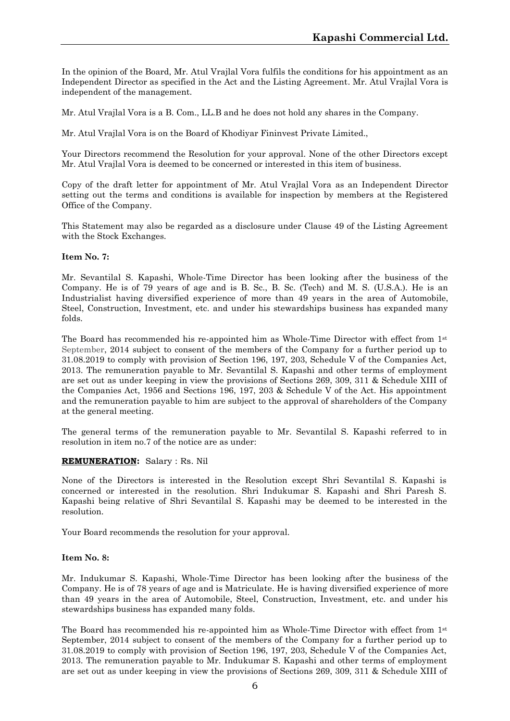In the opinion of the Board, Mr. Atul Vrajlal Vora fulfils the conditions for his appointment as an Independent Director as specified in the Act and the Listing Agreement. Mr. Atul Vrajlal Vora is independent of the management.

Mr. Atul Vrajlal Vora is a B. Com., LL.B and he does not hold any shares in the Company.

Mr. Atul Vrajlal Vora is on the Board of Khodiyar Fininvest Private Limited.,

Your Directors recommend the Resolution for your approval. None of the other Directors except Mr. Atul Vrajlal Vora is deemed to be concerned or interested in this item of business.

Copy of the draft letter for appointment of Mr. Atul Vrajlal Vora as an Independent Director setting out the terms and conditions is available for inspection by members at the Registered Office of the Company.

This Statement may also be regarded as a disclosure under Clause 49 of the Listing Agreement with the Stock Exchanges.

#### **Item No. 7:**

Mr. Sevantilal S. Kapashi, Whole-Time Director has been looking after the business of the Company. He is of 79 years of age and is B. Sc., B. Sc. (Tech) and M. S. (U.S.A.). He is an Industrialist having diversified experience of more than 49 years in the area of Automobile, Steel, Construction, Investment, etc. and under his stewardships business has expanded many folds.

The Board has recommended his re-appointed him as Whole-Time Director with effect from  $1<sup>st</sup>$ September, 2014 subject to consent of the members of the Company for a further period up to 31.08.2019 to comply with provision of Section 196, 197, 203, Schedule V of the Companies Act, 2013. The remuneration payable to Mr. Sevantilal S. Kapashi and other terms of employment are set out as under keeping in view the provisions of Sections 269, 309, 311 & Schedule XIII of the Companies Act, 1956 and Sections 196, 197, 203 & Schedule V of the Act. His appointment and the remuneration payable to him are subject to the approval of shareholders of the Company at the general meeting.

The general terms of the remuneration payable to Mr. Sevantilal S. Kapashi referred to in resolution in item no.7 of the notice are as under:

#### **REMUNERATION:** Salary : Rs. Nil

None of the Directors is interested in the Resolution except Shri Sevantilal S. Kapashi is concerned or interested in the resolution. Shri Indukumar S. Kapashi and Shri Paresh S. Kapashi being relative of Shri Sevantilal S. Kapashi may be deemed to be interested in the resolution.

Your Board recommends the resolution for your approval.

#### **Item No. 8:**

Mr. Indukumar S. Kapashi, Whole-Time Director has been looking after the business of the Company. He is of 78 years of age and is Matriculate. He is having diversified experience of more than 49 years in the area of Automobile, Steel, Construction, Investment, etc. and under his stewardships business has expanded many folds.

The Board has recommended his re-appointed him as Whole-Time Director with effect from 1st September, 2014 subject to consent of the members of the Company for a further period up to 31.08.2019 to comply with provision of Section 196, 197, 203, Schedule V of the Companies Act, 2013. The remuneration payable to Mr. Indukumar S. Kapashi and other terms of employment are set out as under keeping in view the provisions of Sections 269, 309, 311 & Schedule XIII of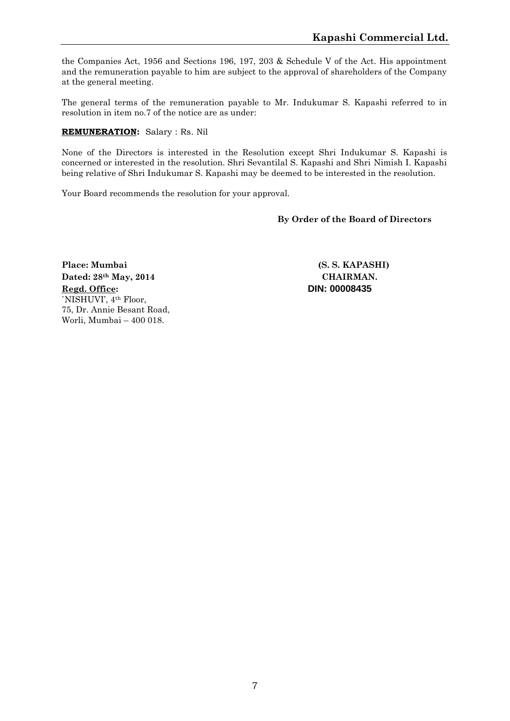the Companies Act, 1956 and Sections 196, 197, 203 & Schedule V of the Act. His appointment and the remuneration payable to him are subject to the approval of shareholders of the Company at the general meeting.

The general terms of the remuneration payable to Mr. Indukumar S. Kapashi referred to in resolution in item no.7 of the notice are as under:

#### **REMUNERATION:** Salary : Rs. Nil

None of the Directors is interested in the Resolution except Shri Indukumar S. Kapashi is concerned or interested in the resolution. Shri Sevantilal S. Kapashi and Shri Nimish I. Kapashi being relative of Shri Indukumar S. Kapashi may be deemed to be interested in the resolution.

Your Board recommends the resolution for your approval.

#### **By Order of the Board of Directors**

**Place: Mumbai (S. S. KAPASHI) Dated: 28th May, 2014 CHAIRMAN. Regd. Office: DIN: 00008435** `NISHUVI', 4th Floor, 75, Dr. Annie Besant Road, Worli, Mumbai – 400 018.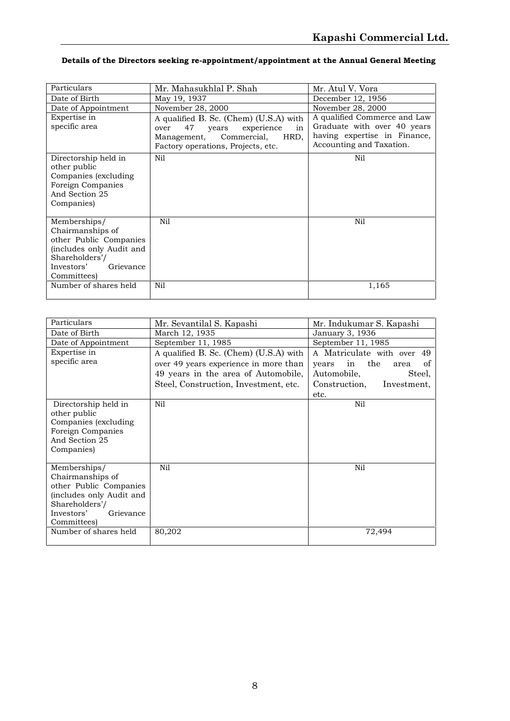### **Details of the Directors seeking re-appointment/appointment at the Annual General Meeting**

| Date of Birth<br>May 19, 1937<br>December 12, 1956<br>Date of Appointment<br>November 28, 2000<br>November 28, 2000 |
|---------------------------------------------------------------------------------------------------------------------|
|                                                                                                                     |
|                                                                                                                     |
| Expertise in<br>A qualified Commerce and Law<br>A qualified B. Sc. (Chem) (U.S.A) with                              |
| Graduate with over 40 years<br>specific area<br>47<br>experience<br>years<br>in<br>over                             |
| having expertise in Finance,<br>Management, Commercial,<br>HRD,                                                     |
| Accounting and Taxation.<br>Factory operations, Projects, etc.                                                      |
| Nil<br>Nil<br>Directorship held in                                                                                  |
| other public                                                                                                        |
| Companies (excluding                                                                                                |
| Foreign Companies                                                                                                   |
| And Section 25                                                                                                      |
| Companies)                                                                                                          |
|                                                                                                                     |
| Nil<br>Nil<br>Memberships/                                                                                          |
| Chairmanships of                                                                                                    |
| other Public Companies                                                                                              |
| (includes only Audit and                                                                                            |
| Shareholders'/                                                                                                      |
| Investors'<br>Grievance                                                                                             |
| Committees)                                                                                                         |
| Number of shares held<br>Nil<br>1,165                                                                               |

| Particulars                          | Mr. Sevantilal S. Kapashi              | Mr. Indukumar S. Kapashi         |
|--------------------------------------|----------------------------------------|----------------------------------|
| Date of Birth                        | March 12, 1935                         | January 3, 1936                  |
| Date of Appointment                  | September 11, 1985                     | September 11, 1985               |
| Expertise in                         | A qualified B. Sc. (Chem) (U.S.A) with | A Matriculate with over<br>49    |
| specific area                        | over 49 years experience in more than  | the<br>of<br>in<br>years<br>area |
|                                      | 49 years in the area of Automobile,    | Automobile,<br>Steel,            |
|                                      | Steel, Construction, Investment, etc.  | Investment,<br>Construction,     |
|                                      |                                        | etc.                             |
| Directorship held in<br>other public | Nil                                    | Nil                              |
| Companies (excluding                 |                                        |                                  |
| Foreign Companies                    |                                        |                                  |
| And Section 25                       |                                        |                                  |
| Companies)                           |                                        |                                  |
| Memberships/                         | Nil                                    | Nil                              |
| Chairmanships of                     |                                        |                                  |
| other Public Companies               |                                        |                                  |
| (includes only Audit and             |                                        |                                  |
| Shareholders'/                       |                                        |                                  |
| Investors'<br>Grievance              |                                        |                                  |
| Committees)                          |                                        |                                  |
| Number of shares held                | 80,202                                 | 72,494                           |
|                                      |                                        |                                  |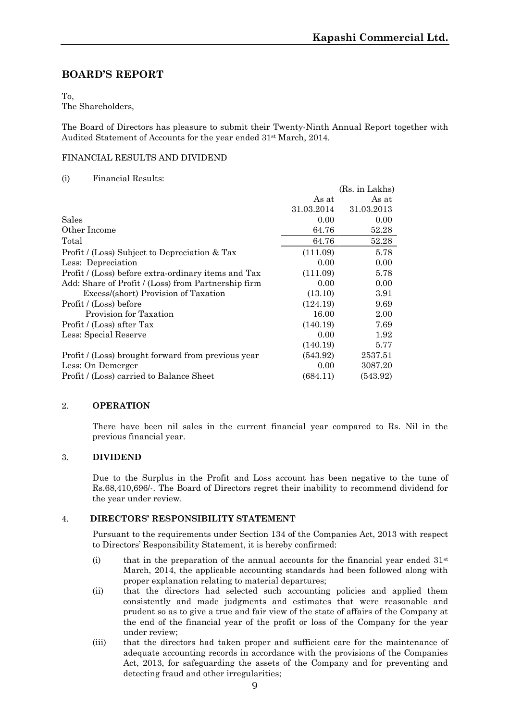# **BOARD'S REPORT**

To,

The Shareholders,

The Board of Directors has pleasure to submit their Twenty-Ninth Annual Report together with Audited Statement of Accounts for the year ended 31st March, 2014.

#### FINANCIAL RESULTS AND DIVIDEND

#### (i) Financial Results:

|                                                     |            | (Rs. in Lakhs) |
|-----------------------------------------------------|------------|----------------|
|                                                     | As at      | As at          |
|                                                     | 31.03.2014 | 31.03.2013     |
| Sales                                               | 0.00       | 0.00           |
| Other Income                                        | 64.76      | 52.28          |
| Total                                               | 64.76      | 52.28          |
| Profit / (Loss) Subject to Depreciation & Tax       | (111.09)   | 5.78           |
| Less: Depreciation                                  | 0.00       | 0.00           |
| Profit / (Loss) before extra-ordinary items and Tax | (111.09)   | 5.78           |
| Add: Share of Profit / (Loss) from Partnership firm | 0.00       | 0.00           |
| Excess/(short) Provision of Taxation                | (13.10)    | 3.91           |
| Profit / (Loss) before                              | (124.19)   | 9.69           |
| Provision for Taxation                              | 16.00      | 2.00           |
| Profit / (Loss) after Tax                           | (140.19)   | 7.69           |
| Less: Special Reserve                               | 0.00       | 1.92           |
|                                                     | (140.19)   | 5.77           |
| Profit / (Loss) brought forward from previous year  | (543.92)   | 2537.51        |
| Less: On Demerger                                   | 0.00       | 3087.20        |
| Profit / (Loss) carried to Balance Sheet            | (684.11)   | (543.92)       |

#### 2. **OPERATION**

There have been nil sales in the current financial year compared to Rs. Nil in the previous financial year.

#### 3. **DIVIDEND**

Due to the Surplus in the Profit and Loss account has been negative to the tune of Rs.68,410,696/-. The Board of Directors regret their inability to recommend dividend for the year under review.

#### 4. **DIRECTORS' RESPONSIBILITY STATEMENT**

Pursuant to the requirements under Section 134 of the Companies Act, 2013 with respect to Directors' Responsibility Statement, it is hereby confirmed:

- (i) that in the preparation of the annual accounts for the financial year ended  $31<sup>st</sup>$ March, 2014, the applicable accounting standards had been followed along with proper explanation relating to material departures;
- (ii) that the directors had selected such accounting policies and applied them consistently and made judgments and estimates that were reasonable and prudent so as to give a true and fair view of the state of affairs of the Company at the end of the financial year of the profit or loss of the Company for the year under review;
- (iii) that the directors had taken proper and sufficient care for the maintenance of adequate accounting records in accordance with the provisions of the Companies Act, 2013, for safeguarding the assets of the Company and for preventing and detecting fraud and other irregularities;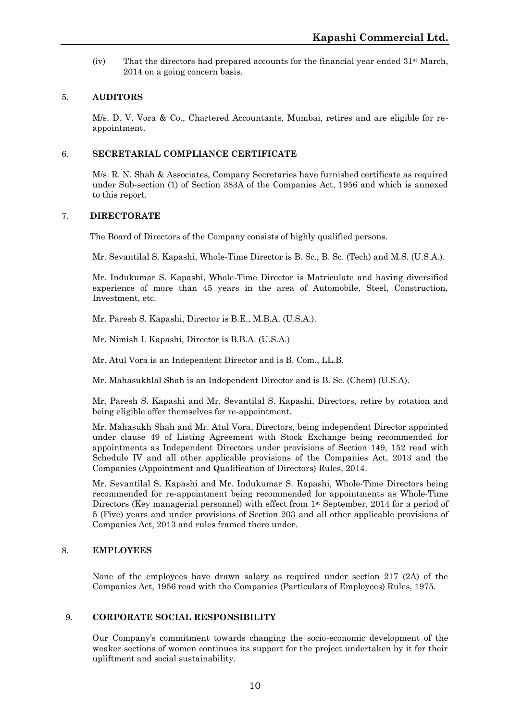(iv) That the directors had prepared accounts for the financial year ended  $31<sup>st</sup>$  March, 2014 on a going concern basis.

#### 5. **AUDITORS**

M/s. D. V. Vora & Co., Chartered Accountants, Mumbai, retires and are eligible for re appointment.

#### 6. **SECRETARIAL COMPLIANCE CERTIFICATE**

M/s. R. N. Shah & Associates, Company Secretaries have furnished certificate as required under Sub-section (1) of Section 383A of the Companies Act, 1956 and which is annexed to this report.

#### 7. **DIRECTORATE**

The Board of Directors of the Company consists of highly qualified persons.

Mr. Sevantilal S. Kapashi, Whole-Time Director is B. Sc., B. Sc. (Tech) and M.S. (U.S.A.).

Mr. Indukumar S. Kapashi, Whole-Time Director is Matriculate and having diversified experience of more than 45 years in the area of Automobile, Steel, Construction, Investment, etc.

Mr. Paresh S. Kapashi, Director is B.E., M.B.A. (U.S.A.).

Mr. Nimish I. Kapashi, Director is B.B.A. (U.S.A.)

Mr. Atul Vora is an Independent Director and is B. Com., LL.B.

Mr. Mahasukhlal Shah is an Independent Director and is B. Sc. (Chem) (U.S.A).

Mr. Paresh S. Kapashi and Mr. Sevantilal S. Kapashi, Directors, retire by rotation and being eligible offer themselves for re-appointment.

Mr. Mahasukh Shah and Mr. Atul Vora, Directors, being independent Director appointed under clause 49 of Listing Agreement with Stock Exchange being recommended for appointments as Independent Directors under provisions of Section 149, 152 read with Schedule IV and all other applicable provisions of the Companies Act, 2013 and the Companies (Appointment and Qualification of Directors) Rules, 2014.

Mr. Sevantilal S. Kapashi and Mr. Indukumar S. Kapashi, Whole-Time Directors being recommended for re-appointment being recommended for appointments as Whole-Time Directors (Key managerial personnel) with effect from 1<sup>st</sup> September, 2014 for a period of 5 (Five) years and under provisions of Section 203 and all other applicable provisions of Companies Act, 2013 and rules framed there under.

#### 8. **EMPLOYEES**

None of the employees have drawn salary as required under section 217 (2A) of the Companies Act, 1956 read with the Companies (Particulars of Employees) Rules, 1975.

#### 9. **CORPORATE SOCIAL RESPONSIBILITY**

Our Company's commitment towards changing the socio-economic development of the weaker sections of women continues its support for the project undertaken by it for their upliftment and social sustainability.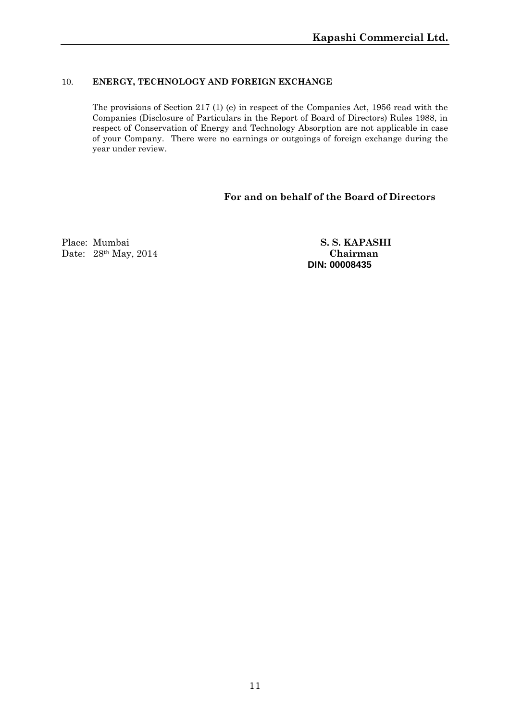#### 10. **ENERGY, TECHNOLOGY AND FOREIGN EXCHANGE**

The provisions of Section 217 (1) (e) in respect of the Companies Act, 1956 read with the Companies (Disclosure of Particulars in the Report of Board of Directors) Rules 1988, in respect of Conservation of Energy and Technology Absorption are not applicable in case of your Company. There were no earnings or outgoings of foreign exchange during the year under review.

## **For and on behalf of the Board of Directors**

Place: Mumbai **S. S. KAPASHI** Date: 28th May, 2014 **Chairman**

**DIN: 00008435**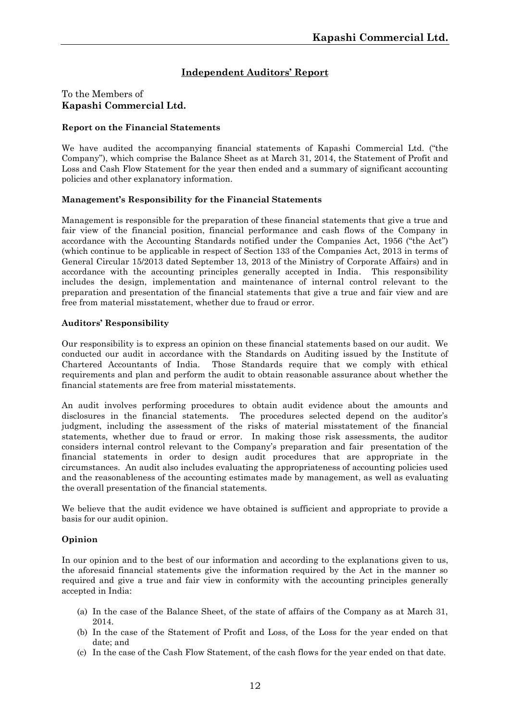# **Independent Auditors' Report**

#### To the Members of **Kapashi Commercial Ltd.**

#### **Report on the Financial Statements**

We have audited the accompanying financial statements of Kapashi Commercial Ltd. ("the Company"), which comprise the Balance Sheet as at March 31, 2014, the Statement of Profit and Loss and Cash Flow Statement for the year then ended and a summary of significant accounting policies and other explanatory information.

#### **Management's Responsibility for the Financial Statements**

Management is responsible for the preparation of these financial statements that give a true and fair view of the financial position, financial performance and cash flows of the Company in accordance with the Accounting Standards notified under the Companies Act, 1956 ("the Act") (which continue to be applicable in respect of Section 133 of the Companies Act, 2013 in terms of General Circular 15/2013 dated September 13, 2013 of the Ministry of Corporate Affairs) and in accordance with the accounting principles generally accepted in India. This responsibility includes the design, implementation and maintenance of internal control relevant to the preparation and presentation of the financial statements that give a true and fair view and are free from material misstatement, whether due to fraud or error.

#### **Auditors' Responsibility**

Our responsibility is to express an opinion on these financial statements based on our audit. We conducted our audit in accordance with the Standards on Auditing issued by the Institute of Chartered Accountants of India. Those Standards require that we comply with ethical requirements and plan and perform the audit to obtain reasonable assurance about whether the financial statements are free from material misstatements.

An audit involves performing procedures to obtain audit evidence about the amounts and disclosures in the financial statements. The procedures selected depend on the auditor's judgment, including the assessment of the risks of material misstatement of the financial statements, whether due to fraud or error. In making those risk assessments, the auditor considers internal control relevant to the Company's preparation and fair presentation of the financial statements in order to design audit procedures that are appropriate in the circumstances. An audit also includes evaluating the appropriateness of accounting policies used and the reasonableness of the accounting estimates made by management, as well as evaluating the overall presentation of the financial statements.

We believe that the audit evidence we have obtained is sufficient and appropriate to provide a basis for our audit opinion.

#### **Opinion**

In our opinion and to the best of our information and according to the explanations given to us, the aforesaid financial statements give the information required by the Act in the manner so required and give a true and fair view in conformity with the accounting principles generally accepted in India:

- (a) In the case of the Balance Sheet, of the state of affairs of the Company as at March 31, 2014.
- (b) In the case of the Statement of Profit and Loss, of the Loss for the year ended on that date; and
- (c) In the case of the Cash Flow Statement, of the cash flows for the year ended on that date.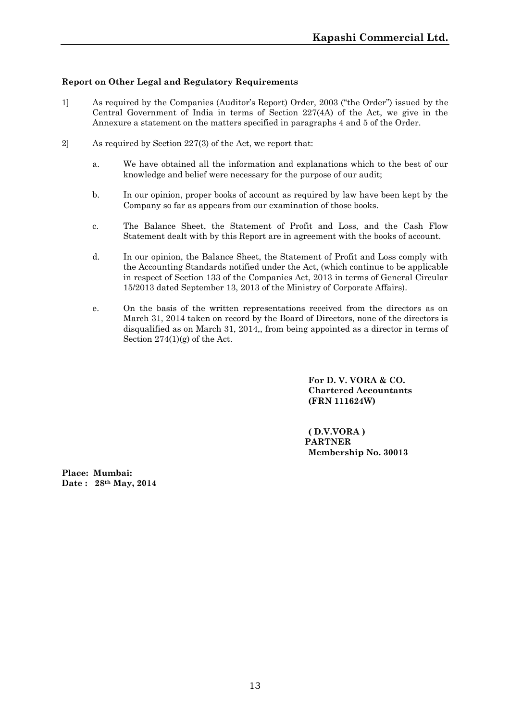#### **Report on Other Legal and Regulatory Requirements**

- 1] As required by the Companies (Auditor's Report) Order, 2003 ("the Order") issued by the Central Government of India in terms of Section 227(4A) of the Act, we give in the Annexure a statement on the matters specified in paragraphs 4 and 5 of the Order.
- 2] As required by Section 227(3) of the Act, we report that:
	- a. We have obtained all the information and explanations which to the best of our knowledge and belief were necessary for the purpose of our audit;
	- b. In our opinion, proper books of account as required by law have been kept by the Company so far as appears from our examination of those books.
	- c. The Balance Sheet, the Statement of Profit and Loss, and the Cash Flow Statement dealt with by this Report are in agreement with the books of account.
	- d. In our opinion, the Balance Sheet, the Statement of Profit and Loss comply with the Accounting Standards notified under the Act, (which continue to be applicable in respect of Section 133 of the Companies Act, 2013 in terms of General Circular 15/2013 dated September 13, 2013 of the Ministry of Corporate Affairs).
	- e. On the basis of the written representations received from the directors as on March 31, 2014 taken on record by the Board of Directors, none of the directors is disqualified as on March 31, 2014,, from being appointed as a director in terms of Section  $274(1)(g)$  of the Act.

**For D. V. VORA & CO. Chartered Accountants (FRN 111624W)**

**( D.V.VORA ) PARTNER Membership No. 30013**

**Place: Mumbai: Date : 28th May, 2014**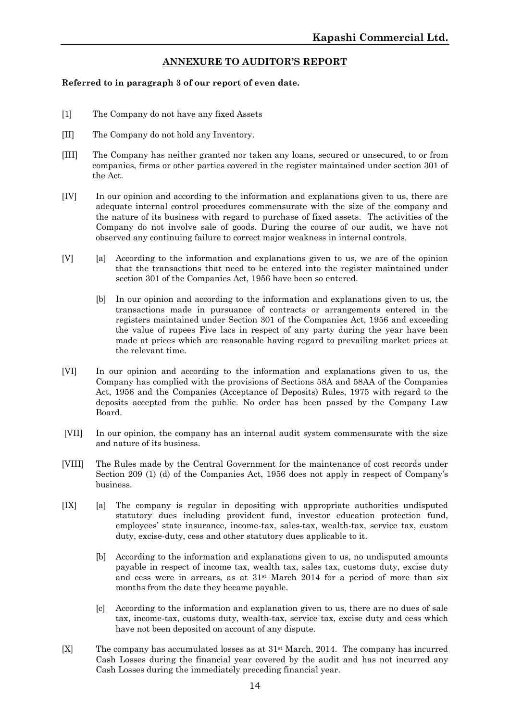#### **ANNEXURE TO AUDITOR'S REPORT**

#### **Referred to in paragraph 3 of our report of even date.**

- [1] The Company do not have any fixed Assets
- [II] The Company do not hold any Inventory.
- [III] The Company has neither granted nor taken any loans, secured or unsecured, to or from companies, firms or other parties covered in the register maintained under section 301 of the Act.
- [IV] In our opinion and according to the information and explanations given to us, there are adequate internal control procedures commensurate with the size of the company and the nature of its business with regard to purchase offixed assets. The activities of the Company do not involve sale of goods. During the course of our audit, we have not observed any continuing failure to correct major weakness in internal controls.
- [V] [a] According to the information and explanations given to us, we are of the opinion that the transactions that need to be entered into the register maintained under section 301 of the Companies Act, 1956 have been so entered.
	- [b] In our opinion and according to the information and explanations given to us, the transactions made in pursuance of contracts or arrangements entered in the registers maintained under Section 301 of the Companies Act, 1956 and exceeding the value of rupees Five lacs in respect of any party during the year have been made at prices which are reasonable having regard to prevailing market prices at the relevant time.
- [VI] In our opinion and according to the information and explanations given to us, the Company has complied with the provisions of Sections 58A and 58AA of the Companies Act, 1956 and the Companies (Acceptance of Deposits) Rules, 1975 with regard to the deposits accepted from the public. No order has been passed by the Company Law Board.
- [VII] In our opinion, the company has an internal audit system commensurate with the size and nature of its business.
- [VIII] The Rules made by the Central Government for the maintenance of cost records under Section 209 (1) (d) of the Companies Act, 1956 does not apply in respect of Company's business.
- [IX] [a] The company is regular in depositing with appropriate authorities undisputed statutory dues including provident fund, investor education protection fund, employees' state insurance, income-tax, sales-tax, wealth-tax, service tax, custom duty, excise-duty, cess and other statutory dues applicable to it.
	- [b] According to the information and explanations given to us, no undisputed amounts payable in respect of income tax, wealth tax, sales tax, customs duty, excise duty and cess were in arrears, as at 31st March 2014 for a period of more than six months from the date they became payable.
	- [c] According to the information and explanation given to us, there are no dues of sale tax, income-tax, customs duty, wealth-tax, service tax, excise duty and cess which have not been deposited on account of any dispute.
- [X] The company has accumulated losses as at 31st March, 2014. The company has incurred Cash Losses during the financial year covered by the audit and has not incurred any Cash Losses during the immediately preceding financial year.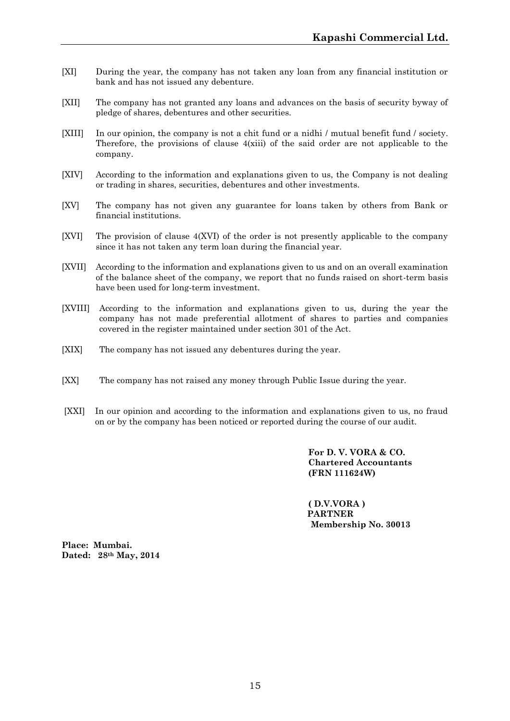- [XI] During the year, the company has not taken any loan from any financial institution or bank and has not issued any debenture.
- [XII] The company has not granted any loans and advances on the basis of security byway of pledge of shares, debentures and other securities.
- [XIII] In our opinion, the company is not a chit fund or a nidhi / mutual benefit fund / society. Therefore, the provisions of clause  $4(xiii)$  of the said order are not applicable to the company.
- [XIV] According to the information and explanations given to us, the Company is not dealing or trading in shares, securities, debentures and other investments.
- [XV] The company has not given any guarantee for loans taken by others from Bank or financial institutions.
- [XVI] The provision of clause 4(XVI) of the order is not presently applicable to the company since it has not taken any term loan during the financial year.
- [XVII] According to the information and explanations given to us and on an overall examination of the balance sheet of the company, we report that no funds raised on short-term basis have been used for long-term investment.
- [XVIII] According to the information and explanations given to us, during the year the company has not made preferential allotment of shares to parties and companies covered in the register maintained under section 301 of the Act.
- [XIX] The company has not issued any debentures during the year.
- [XX] The company has not raised any money through Public Issue during the year.
- [XXI] In our opinion and according to the information and explanations given to us, no fraud on or by the company has been noticed or reported during the course of our audit.

**For D. V. VORA & CO. Chartered Accountants (FRN 111624W)**

**( D.V.VORA ) PARTNER Membership No. 30013**

**Place: Mumbai. Dated: 28th May, 2014**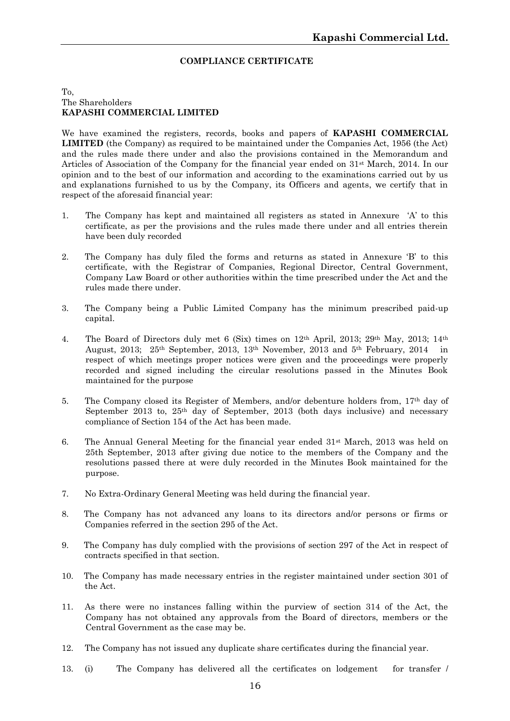#### **COMPLIANCE CERTIFICATE**

#### To, The Shareholders **KAPASHI COMMERCIAL LIMITED**

We have examined the registers, records, books and papers of **KAPASHI COMMERCIAL LIMITED** (the Company) as required to be maintained under the Companies Act, 1956 (the Act) and the rules made there under and also the provisions contained in the Memorandum and Articles of Association of the Company for the financial year ended on 31st March, 2014. In our opinion and to the best of our information and according to the examinations carried out by us and explanations furnished to us by the Company, its Officers and agents, we certify that in respect of the aforesaid financial year:

- 1. The Company has kept and maintained all registers as stated in Annexure 'A' to this certificate, as per the provisions and the rules made there under and all entries therein have been duly recorded
- 2. The Company has duly filed the forms and returns as stated in Annexure 'B' to this certificate, with the Registrar of Companies, Regional Director, Central Government, Company Law Board or other authorities within the time prescribed under the Act and the rules made there under.
- 3. The Company being a Public Limited Company has the minimum prescribed paid-up capital.
- 4. The Board of Directors duly met 6 (Six) times on 12th April, 2013; 29th May, 2013; 14th August, 2013; 25th September, 2013, 13th November, 2013 and 5th February, 2014 in respect of which meetings proper notices were given and the proceedings were properly recorded and signed including the circular resolutions passed in the Minutes Book maintained for the purpose
- 5. The Company closed its Register of Members, and/or debenture holders from, 17th day of September 2013 to,  $25<sup>th</sup>$  day of September, 2013 (both days inclusive) and necessary compliance of Section 154 of the Act has been made.
- 6. The Annual General Meeting for the financial year ended  $31<sup>st</sup>$  March, 2013 was held on 25th September, 2013 after giving due notice to the members of the Company and the resolutions passed there at were duly recorded in the Minutes Book maintained for the purpose.
- 7. No Extra-Ordinary General Meeting was held during the financial year.
- 8. The Company has not advanced any loans to its directors and/or persons or firms or Companies referred in the section 295 of the Act.
- 9. The Company has duly complied with the provisions of section 297 of the Act in respect of contracts specified in that section.
- 10. The Company has made necessary entries in the register maintained under section 301 of the Act.
- 11. As there were no instances falling within the purview of section 314 of the Act, the Company has not obtained any approvals from the Board of directors, members or the Central Government as the case may be.
- 12. The Company has not issued any duplicate share certificates during the financial year.
- 13. (i) The Company has delivered all the certificates on lodgement for transfer /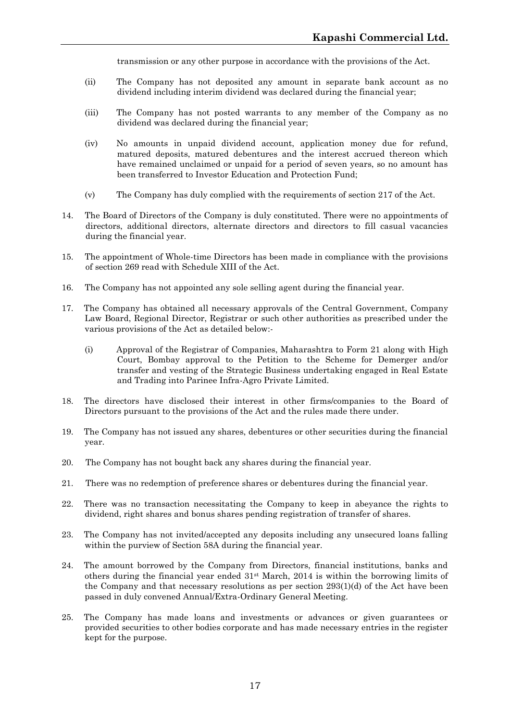transmission or any other purpose in accordance with the provisions of the Act.

- (ii) The Company has not deposited any amount in separate bank account as no dividend including interim dividend was declared during the financial year;
- (iii) The Company has not posted warrants to any member of the Company as no dividend was declared during the financial year;
- (iv) No amounts in unpaid dividend account, application money due for refund, matured deposits, matured debentures and the interest accrued thereon which have remained unclaimed or unpaid for a period of seven years, so no amount has been transferred to Investor Education and Protection Fund;
- (v) The Company has duly complied with the requirements of section 217 of the Act.
- 14. The Board of Directors of the Company is duly constituted. There were no appointments of directors, additional directors, alternate directors and directors to fill casual vacancies during the financial year.
- 15. The appointment of Whole-time Directors has been made in compliance with the provisions of section 269 read with Schedule XIII of the Act.
- 16. The Company has not appointed any sole selling agent during the financial year.
- 17. The Company has obtained all necessary approvals of the Central Government, Company Law Board, Regional Director, Registrar or such other authorities as prescribed under the various provisions of the Act as detailed below:-
	- (i) Approval of the Registrar of Companies, Maharashtra to Form 21 along with High Court, Bombay approval to the Petition to the Scheme for Demerger and/or transfer and vesting of the Strategic Business undertaking engaged in Real Estate and Trading into Parinee Infra-Agro Private Limited.
- 18. The directors have disclosed their interest in other firms/companies to the Board of Directors pursuant to the provisions of the Act and the rules made there under.
- 19. The Company has not issued any shares, debentures or other securities during the financial year.
- 20. The Company has not bought back any shares during the financial year.
- 21. There was no redemption of preference shares or debentures during the financial year.
- 22. There was no transaction necessitating the Company to keep in abeyance the rights to dividend, right shares and bonus shares pending registration of transfer of shares.
- 23. The Company has not invited/accepted any deposits including any unsecured loans falling within the purview of Section 58A during the financial year.
- 24. The amount borrowed by the Company from Directors, financial institutions, banks and others during the financial year ended  $31<sup>st</sup>$  March, 2014 is within the borrowing limits of the Company and that necessary resolutions as per section 293(1)(d) of the Act have been passed in duly convened Annual/Extra-Ordinary General Meeting.
- 25. The Company has made loans and investments or advances or given guarantees or provided securities to other bodies corporate and has made necessary entries in the register kept for the purpose.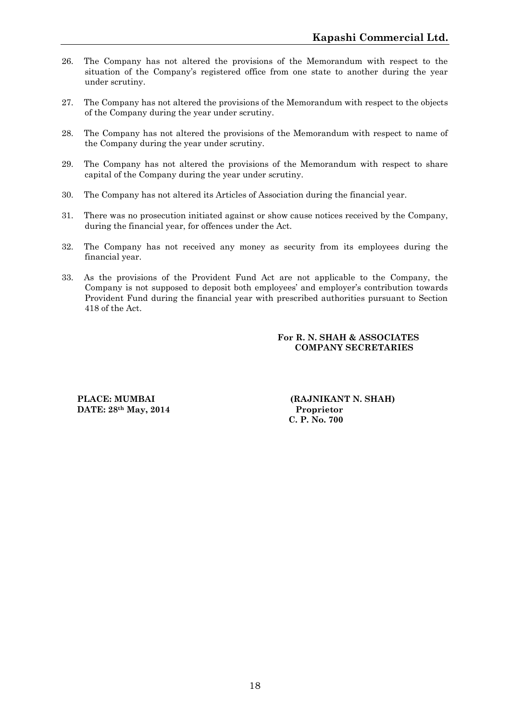- 26. The Company has not altered the provisions of the Memorandum with respect to the situation of the Company's registered office from one state to another during the year under scrutiny.
- 27. The Company has not altered the provisions of the Memorandum with respect to the objects of the Company during the year under scrutiny.
- 28. The Company has not altered the provisions of the Memorandum with respect to name of the Company during the year under scrutiny.
- 29. The Company has not altered the provisions of the Memorandum with respect to share capital of the Company during the year under scrutiny.
- 30. The Company has not altered its Articles of Association during the financial year.
- 31. There was no prosecution initiated against or show cause notices received by the Company, during the financial year, for offences under the Act.
- 32. The Company has not received any money as security from its employees during the financial year.
- 33. As the provisions of the Provident Fund Act are not applicable to the Company, the Company is not supposed to deposit both employees' and employer's contribution towards Provident Fund during the financial year with prescribed authorities pursuant to Section 418 of the Act.

#### **For R. N. SHAH & ASSOCIATES COMPANY SECRETARIES**

**DATE:**  $28$ <sup>th</sup> **May**,  $2014$ 

**PLACE: MUMBAI (RAJNIKANT N. SHAH)**<br> **DATE:** 28<sup>th</sup> May. 2014 **Proprietor C. P. No. 700**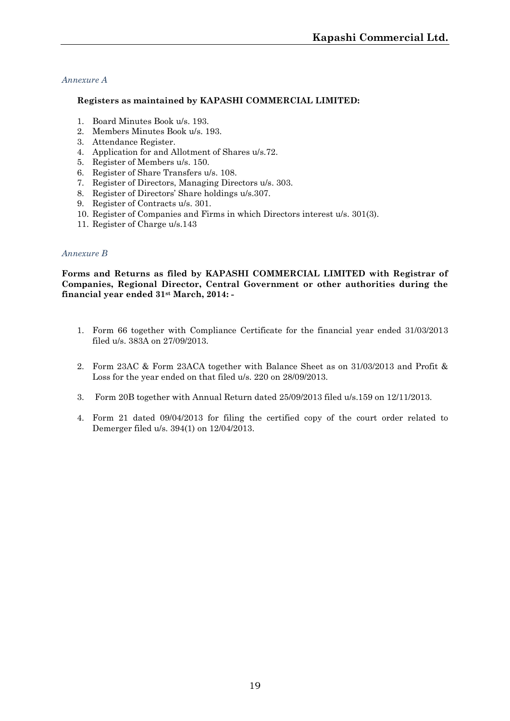#### *Annexure A*

#### **Registers as maintained by KAPASHI COMMERCIAL LIMITED:**

- 1. Board Minutes Book u/s. 193.
- 2. Members Minutes Book u/s. 193.
- 3. Attendance Register.
- 4. Application for and Allotment of Shares u/s.72.
- 5. Register of Members u/s. 150.
- 6. Register of Share Transfers u/s. 108.
- 7. Register of Directors, Managing Directors u/s. 303.
- 8. Register of Directors' Share holdings u/s.307.
- 9. Register of Contracts u/s. 301.
- 10. Register of Companies and Firms in which Directors interest u/s. 301(3).
- 11. Register of Charge u/s.143

#### *Annexure B*

**Forms and Returns as filed by KAPASHI COMMERCIAL LIMITED with Registrar of Companies, Regional Director, Central Government or other authorities during the financial year ended 31st March, 2014: -**

- 1. Form 66 together with Compliance Certificate for the financial year ended 31/03/2013 filed u/s. 383A on 27/09/2013.
- 2. Form 23AC & Form 23ACA together with Balance Sheet as on 31/03/2013 and Profit & Loss for the year ended on that filed u/s. 220 on 28/09/2013.
- 3. Form 20B together with Annual Return dated 25/09/2013 filed u/s.159 on 12/11/2013.
- 4. Form 21 dated 09/04/2013 for filing the certified copy of the court order related to Demerger filed u/s. 394(1) on 12/04/2013.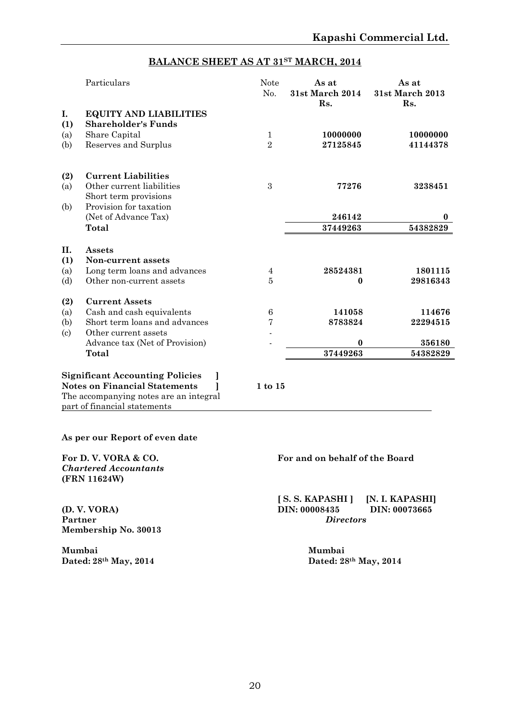# **BALANCE SHEET AS AT 31ST MARCH, 2014**

|                          | Particulars                                                 | <b>Note</b><br>No. | As at<br>31st March 2014<br>Rs. | As at<br>31st March 2013<br>Rs. |
|--------------------------|-------------------------------------------------------------|--------------------|---------------------------------|---------------------------------|
| I.<br>(1)                | <b>EQUITY AND LIABILITIES</b><br><b>Shareholder's Funds</b> |                    |                                 |                                 |
| (a)                      | Share Capital                                               | $\mathbf{1}$       | 10000000                        | 10000000                        |
| (b)                      | Reserves and Surplus                                        | $\overline{2}$     | 27125845                        | 41144378                        |
| (2)                      | <b>Current Liabilities</b>                                  |                    |                                 |                                 |
| (a)                      | Other current liabilities<br>Short term provisions          | 3                  | 77276                           | 3238451                         |
| (b)                      | Provision for taxation                                      |                    |                                 |                                 |
|                          | (Net of Advance Tax)                                        |                    | 246142                          | $\bf{0}$                        |
|                          | <b>Total</b>                                                |                    | 37449263                        | 54382829                        |
| <b>II.</b>               | Assets                                                      |                    |                                 |                                 |
| (1)                      | Non-current assets                                          |                    |                                 |                                 |
| (a)                      | Long term loans and advances                                | 4                  | 28524381                        | 1801115                         |
| (d)                      | Other non-current assets                                    | 5                  | 0                               | 29816343                        |
| (2)                      | <b>Current Assets</b>                                       |                    |                                 |                                 |
| (a)                      | Cash and cash equivalents                                   | $\,6$              | 141058                          | 114676                          |
| (b)                      | Short term loans and advances                               | $\bf 7$            | 8783824                         | 22294515                        |
| $\left( \text{c}\right)$ | Other current assets                                        |                    |                                 |                                 |
|                          | Advance tax (Net of Provision)                              |                    | $\bf{0}$                        | 356180                          |
|                          | Total                                                       |                    | 37449263                        | 54382829                        |

#### **Significant Accounting Policies ] Notes on Financial Statements ] 1 to 15** The accompanying notes are an integral part of financial statements

#### **As per our Report of even date**

*Chartered Accountants* **(FRN 11624W)**

**Membership No. 30013**

Mumbai<br> **Dated:** 28<sup>th</sup> May, 2014<br> **Mumbai**<br> **Dated:** 28<sup>th</sup> May, 2014

#### **For D. V. VORA & CO. For and on behalf of the Board**

**[ S. S. KAPASHI ] [N. I. KAPASHI] (D. V. VORA) DIN: 00008435 DIN: 00073665**  $Directors$ 

**Dated: 28th May, 2014 Dated: 28th May, 2014**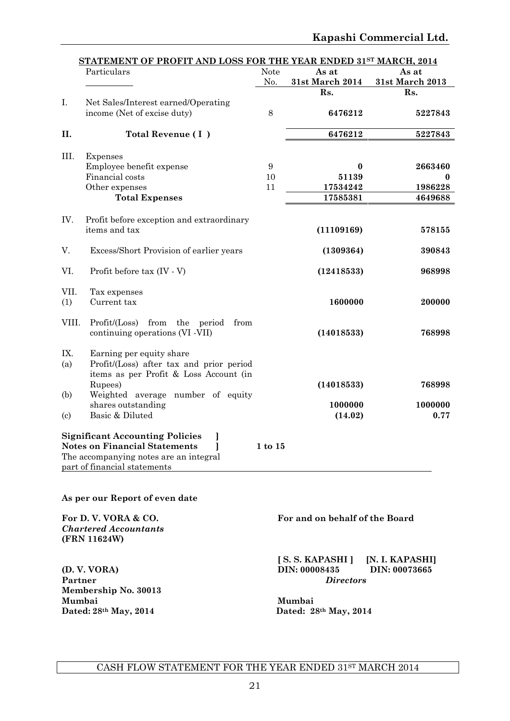|                            | STATEMENT OF PROFIT AND LOSS FOR THE YEAR ENDED 31ST MARCH, 2014<br>Particulars                                                                          | <b>Note</b><br>No. | As at<br>31st March 2014 | As at<br>31st March 2013 |
|----------------------------|----------------------------------------------------------------------------------------------------------------------------------------------------------|--------------------|--------------------------|--------------------------|
|                            |                                                                                                                                                          |                    | Rs.                      | Rs.                      |
| I.                         | Net Sales/Interest earned/Operating                                                                                                                      |                    |                          |                          |
|                            | income (Net of excise duty)                                                                                                                              | $\,8\,$            | 6476212                  | 5227843                  |
| II.                        | Total Revenue (I)                                                                                                                                        |                    | 6476212                  | 5227843                  |
| III.                       | Expenses                                                                                                                                                 |                    |                          |                          |
|                            | Employee benefit expense                                                                                                                                 | $\boldsymbol{9}$   | $\bf{0}$                 | 2663460                  |
|                            | Financial costs                                                                                                                                          | 10                 | 51139                    | $\bf{0}$                 |
|                            | Other expenses                                                                                                                                           | 11                 | 17534242                 | 1986228                  |
|                            | <b>Total Expenses</b>                                                                                                                                    |                    | 17585381                 | 4649688                  |
| IV.                        | Profit before exception and extraordinary                                                                                                                |                    |                          |                          |
|                            | items and tax                                                                                                                                            |                    | (11109169)               | 578155                   |
| V.                         | Excess/Short Provision of earlier years                                                                                                                  |                    | (1309364)                | 390843                   |
| VI.                        | Profit before tax (IV - V)                                                                                                                               |                    | (12418533)               | 968998                   |
| VII.                       | Tax expenses                                                                                                                                             |                    |                          |                          |
| (1)                        | Current tax                                                                                                                                              |                    | 1600000                  | 200000                   |
| VIII.                      | Profit / (Loss)<br>from the period<br>from<br>continuing operations (VI -VII)                                                                            |                    | (14018533)               | 768998                   |
| IX.<br>(a)                 | Earning per equity share<br>Profit/(Loss) after tax and prior period<br>items as per Profit & Loss Account (in                                           |                    |                          |                          |
| (b)                        | Rupees)<br>Weighted average number of equity                                                                                                             |                    | (14018533)               | 768998                   |
|                            | shares outstanding                                                                                                                                       |                    | 1000000                  | 1000000                  |
| $\left( \mathrm{c}\right)$ | Basic & Diluted                                                                                                                                          |                    | (14.02)                  | 0.77                     |
|                            | <b>Significant Accounting Policies</b><br><b>Notes on Financial Statements</b><br>The accompanying notes are an integral<br>part of financial statements | $1$ to $15$        |                          |                          |

**As per our Report of even date**

**For D. V. VORA & CO. For and on behalf of the Board** *Chartered Accountants* **(FRN 11624W) [ S. S. KAPASHI ] [N. I. KAPASHI] (D. V. VORA) DIN: 00008435 DIN: 00073665**  $Directors$ **Membership No. 30013 Mumbai Mumbai Dated: 28th May, 2014 Dated: 28th May, 2014**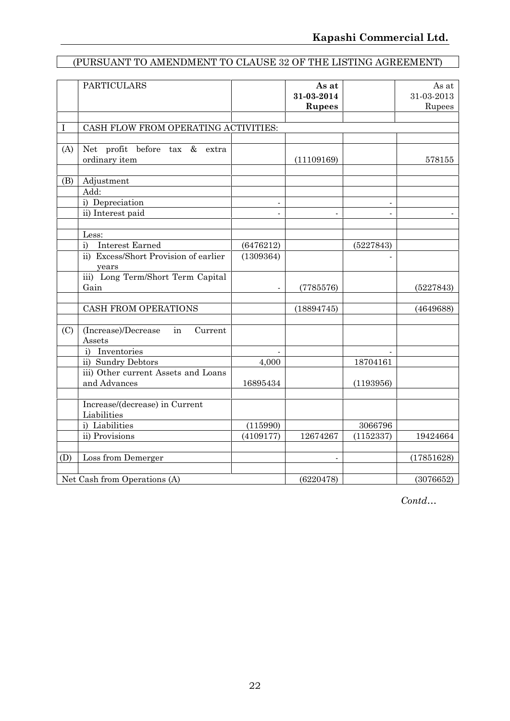# (PURSUANT TO AMENDMENT TO CLAUSE 32 OF THE LISTING AGREEMENT)

|             | <b>PARTICULARS</b>                                  |                | As at<br>31-03-2014<br><b>Rupees</b> |                | As at<br>31-03-2013<br>Rupees |
|-------------|-----------------------------------------------------|----------------|--------------------------------------|----------------|-------------------------------|
| $\mathbf I$ | CASH FLOW FROM OPERATING ACTIVITIES:                |                |                                      |                |                               |
|             |                                                     |                |                                      |                |                               |
| (A)         | Net profit before tax & extra<br>ordinary item      |                | (11109169)                           |                | 578155                        |
| (B)         | Adjustment                                          |                |                                      |                |                               |
|             | Add:                                                |                |                                      |                |                               |
|             | i) Depreciation                                     |                |                                      |                |                               |
|             | ii) Interest paid                                   | $\overline{a}$ | $\overline{a}$                       | $\overline{a}$ |                               |
|             | Less:                                               |                |                                      |                |                               |
|             | <b>Interest Earned</b><br>$\mathbf{i}$              | (6476212)      |                                      | (5227843)      |                               |
|             | ii) Excess/Short Provision of earlier<br>years      | (1309364)      |                                      |                |                               |
|             | iii) Long Term/Short Term Capital<br>Gain           |                | (7785576)                            |                | (5227843)                     |
|             |                                                     |                |                                      |                |                               |
|             | CASH FROM OPERATIONS                                |                | (18894745)                           |                | (4649688)                     |
| (C)         | (Increase)/Decrease<br>in<br>Current<br>Assets      |                |                                      |                |                               |
|             | i) Inventories                                      |                |                                      |                |                               |
|             | ii) Sundry Debtors                                  | 4,000          |                                      | 18704161       |                               |
|             | iii) Other current Assets and Loans<br>and Advances | 16895434       |                                      | (1193956)      |                               |
|             | Increase/(decrease) in Current<br>Liabilities       |                |                                      |                |                               |
|             | i) Liabilities                                      | (115990)       |                                      | 3066796        |                               |
|             | ii) Provisions                                      | (4109177)      | 12674267                             | (1152337)      | 19424664                      |
| (D)         | Loss from Demerger                                  |                |                                      |                | (17851628)                    |
|             |                                                     |                |                                      |                |                               |
|             | Net Cash from Operations (A)                        |                | (6220478)                            |                | (3076652)                     |

*Contd…*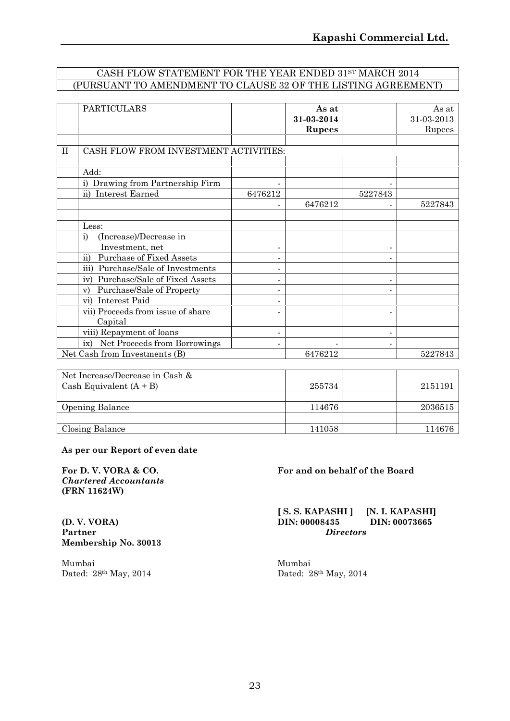### CASH FLOW STATEMENT FOR THE YEAR ENDED 31ST MARCH 2014 (PURSUANT TO AMENDMENT TO CLAUSE 32 OF THE LISTING AGREEMENT)

| <b>PARTICULARS</b>                                    |                              | As at<br>31-03-2014<br><b>Rupees</b> |         | As at<br>31 03 2013<br>Rupees |
|-------------------------------------------------------|------------------------------|--------------------------------------|---------|-------------------------------|
| CASH FLOW FROM INVESTMENT ACTIVITIES:<br>$\mathbf{H}$ |                              |                                      |         |                               |
|                                                       |                              |                                      |         |                               |
| Add:                                                  |                              |                                      |         |                               |
| i) Drawing from Partnership Firm                      |                              |                                      |         |                               |
| Interest Earned<br>$\mathbf{ii}$                      | 6476212                      |                                      | 5227843 |                               |
|                                                       |                              | 6476212                              |         | 5227843                       |
|                                                       |                              |                                      |         |                               |
| Less:                                                 |                              |                                      |         |                               |
| (Increase)/Decrease in<br>i)                          |                              |                                      |         |                               |
| Investment, net                                       | $\overline{\phantom{a}}$     |                                      |         |                               |
| ii)<br><b>Purchase of Fixed Assets</b>                | $\qquad \qquad \blacksquare$ |                                      |         |                               |
| iii)<br>Purchase/Sale of Investments                  | $\overline{\phantom{a}}$     |                                      |         |                               |
| Purchase/Sale of Fixed Assets<br>iv)                  | $\qquad \qquad \blacksquare$ |                                      |         |                               |
| Purchase/Sale of Property<br>V)                       | $\qquad \qquad \blacksquare$ |                                      |         |                               |
| vi) Interest Paid                                     | $\overline{\phantom{0}}$     |                                      |         |                               |
| vii) Proceeds from issue of share                     |                              |                                      |         |                               |
| Capital                                               |                              |                                      |         |                               |
| viii) Repayment of loans                              | $\overline{\phantom{a}}$     |                                      |         |                               |
| ix) Net Proceeds from Borrowings                      | $\blacksquare$               |                                      |         |                               |
| Net Cash from Investments (B)                         |                              | 6476212                              |         | 5227843                       |

| Net Increase/Decrease in Cash & |        |         |
|---------------------------------|--------|---------|
| Cash Equivalent $(A + B)$       | 255734 | 2151191 |
|                                 |        |         |
| <b>Opening Balance</b>          | 114676 | 2036515 |
|                                 |        |         |
| Closing Balance                 | 141058 | 114676  |

#### **As per our Report of even date**

*Chartered Accountants* **(FRN 11624W)**

**Partner** *Directors* **Membership No. 30013**

Mumbai Mumbai Dated: 28th May, 2014 Dated: 28th May, 2014

#### **For D. V. VORA & CO. For and on behalf of the Board**

**[ S. S. KAPASHI ] [N. I. KAPASHI]**<br>**DIN:** 00008435 **DIN:** 00073665 **(D. V. VORA) DIN: 00008435 DIN: 00073665**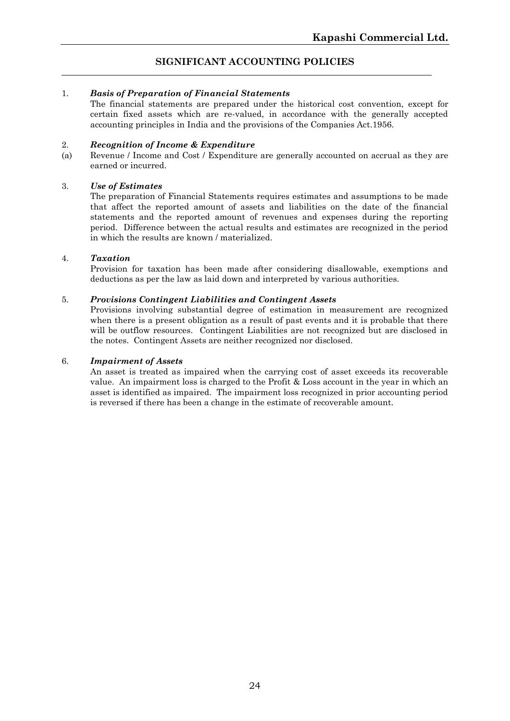### **SIGNIFICANT ACCOUNTING POLICIES**

#### 1. *Basis of Preparation of Financial Statements*

The financial statements are prepared under the historical cost convention, except for certain fixed assets which are re-valued, in accordance with the generally accepted accounting principles in India and the provisions of the Companies Act.1956.

#### 2. *Recognition of Income & Expenditure*

(a) Revenue / Income and Cost / Expenditure are generally accounted on accrual as they are earned or incurred.

#### 3. *Use of Estimates*

The preparation of Financial Statements requires estimates and assumptions to be made that affect the reported amount of assets and liabilities on the date of the financial statements and the reported amount of revenues and expenses during the reporting period. Difference between the actual results and estimates are recognized in the period in which the results are known / materialized.

#### 4. *Taxation*

Provision for taxation has been made after considering disallowable, exemptions and deductions as per the law as laid down and interpreted by various authorities.

#### 5. *Provisions Contingent Liabilities and Contingent Assets*

Provisions involving substantial degree of estimation in measurement are recognized when there is a present obligation as a result of past events and it is probable that there will be outflow resources. Contingent Liabilities are not recognized but are disclosed in the notes. Contingent Assets are neither recognized nor disclosed.

#### 6. *Impairment of Assets*

An asset is treated as impaired when the carrying cost of asset exceeds its recoverable value. An impairment loss is charged to the Profit & Loss account in the year in which an asset is identified as impaired. The impairment loss recognized in prior accounting period is reversed if there has been a change in the estimate of recoverable amount.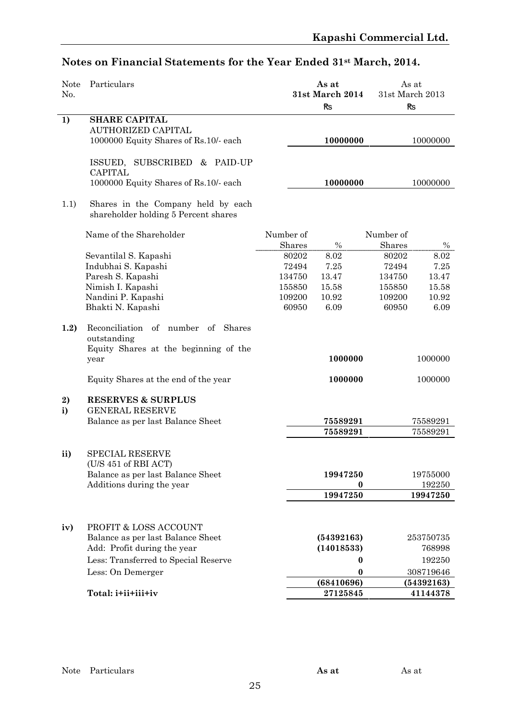| Notes on Financial Statements for the Year Ended 31 <sup>st</sup> March, 2014. |  |  |
|--------------------------------------------------------------------------------|--|--|
|--------------------------------------------------------------------------------|--|--|

| <b>Note</b><br>No. | Particulars                                                                                                                                |           | As at<br>31st March 2014 |           | As at<br>31st March 2013 |
|--------------------|--------------------------------------------------------------------------------------------------------------------------------------------|-----------|--------------------------|-----------|--------------------------|
|                    |                                                                                                                                            |           | <b>Rs</b>                |           | R <sub>S</sub>           |
| 1)                 | <b>SHARE CAPITAL</b>                                                                                                                       |           |                          |           |                          |
|                    | <b>AUTHORIZED CAPITAL</b>                                                                                                                  |           |                          |           |                          |
|                    | 1000000 Equity Shares of Rs.10/- each                                                                                                      |           | 10000000                 |           | 10000000                 |
|                    | ISSUED, SUBSCRIBED & PAID-UP<br><b>CAPITAL</b>                                                                                             |           |                          |           |                          |
|                    | 1000000 Equity Shares of Rs.10/- each                                                                                                      |           | 10000000                 |           | 10000000                 |
| 1.1)               | Shares in the Company held by each<br>shareholder holding 5 Percent shares                                                                 |           |                          |           |                          |
|                    | Name of the Shareholder                                                                                                                    | Number of |                          | Number of |                          |
|                    |                                                                                                                                            | Shares    | $\%$                     | Shares    | $\%$                     |
|                    | Sevantilal S. Kapashi                                                                                                                      | 80202     | 8.02                     | 80202     | 8.02                     |
|                    | Indubhai S. Kapashi                                                                                                                        | 72494     | 7.25                     | 72494     | 7.25                     |
|                    | Paresh S. Kapashi                                                                                                                          | 134750    | 13.47                    | 134750    | 13.47                    |
|                    | Nimish I. Kapashi                                                                                                                          | 155850    | 15.58                    | 155850    | 15.58                    |
|                    | Nandini P. Kapashi                                                                                                                         | 109200    | 10.92                    | 109200    | 10.92                    |
|                    | Bhakti N. Kapashi                                                                                                                          | 60950     | 6.09                     | 60950     | 6.09                     |
| 1.2)               | Reconciliation of number of Shares<br>outstanding<br>Equity Shares at the beginning of the<br>year<br>Equity Shares at the end of the year |           | 1000000<br>1000000       |           | 1000000<br>1000000       |
| 2)                 | <b>RESERVES &amp; SURPLUS</b>                                                                                                              |           |                          |           |                          |
| i)                 | <b>GENERAL RESERVE</b>                                                                                                                     |           |                          |           |                          |
|                    | Balance as per last Balance Sheet                                                                                                          |           | 75589291                 |           | 75589291                 |
|                    |                                                                                                                                            |           | 75589291                 |           | 75589291                 |
| ii)                | <b>SPECIAL RESERVE</b><br>(U/S 451 of RBI ACT)                                                                                             |           |                          |           |                          |
|                    | Balance as per last Balance Sheet                                                                                                          |           | 19947250                 |           | 19755000                 |
|                    | Additions during the year                                                                                                                  |           | 0                        |           | 192250                   |
|                    |                                                                                                                                            |           | 19947250                 |           | 19947250                 |
| iv)                | PROFIT & LOSS ACCOUNT                                                                                                                      |           |                          |           |                          |
|                    | Balance as per last Balance Sheet                                                                                                          |           | (54392163)               |           | 253750735                |
|                    | Add: Profit during the year                                                                                                                |           | (14018533)               |           | 768998                   |
|                    | Less: Transferred to Special Reserve                                                                                                       |           |                          |           | 192250                   |
|                    |                                                                                                                                            |           | 0                        |           |                          |
|                    | Less: On Demerger                                                                                                                          |           | $\bf{0}$                 |           | 308719646                |
|                    |                                                                                                                                            |           | (68410696)               |           | (54392163)               |
|                    | Total: i+ii+iii+iv                                                                                                                         |           | 27125845                 |           | 41144378                 |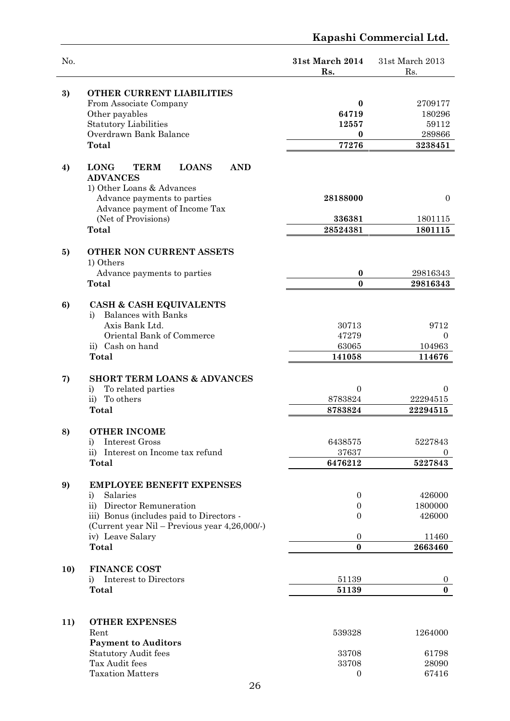# **Kapashi Commercial Ltd.** No. **31st March 2014** 31st March 2013 Rs. Rs. **3) OTHER CURRENT LIABILITIES** From Associate Company **0** 2709177 Other payables **64719** 180296 Statutory Liabilities **12557** 59112 Overdrawn Bank Balance **0** 289866 **Total 77276 3238451 4) LONG TERM LOANS AND** 1) Other Loans & Advances Advance payments to parties **28188000** 0 Advance payment of Income Tax (Net of Provisions) **336381** 1801115 **Total 28524381 1801115 5) OTHER NON CURRENT ASSETS** Advance payments to parties **0** 29816343 **Total 0 29816343 6) CASH & CASH EQUIVALENTS** i) Balances with Banks Axis Bank Ltd. 20713 9712 Oriental Bank of Commerce 47279 0 ii) Cash on hand 63065 104963

**Total 141058 114676**

# **7) SHORT TERM LOANS & ADVANCES** i) To related parties  $\begin{array}{ccc} 0 & 0 \\ 0 & 0 \end{array}$

| $\rm ii)$<br>To others                        | 8783824  | 22294515 |
|-----------------------------------------------|----------|----------|
| Total                                         | 8783824  | 22294515 |
| 8)<br><b>OTHER INCOME</b>                     |          |          |
| Interest Gross<br>$_{1}$                      | 6438575  | 5227843  |
| ii) Interest on Income tax refund             | 37637    | $\theta$ |
| Total                                         | 6476212  | 5227843  |
|                                               |          |          |
| 9)<br><b>EMPLOYEE BENEFIT EXPENSES</b>        |          |          |
| Salaries<br>i)                                | 0        | 426000   |
| ii)<br>Director Remuneration                  | $\Omega$ | 1800000  |
| iii) Bonus (includes paid to Directors -      | 0        | 426000   |
| (Current year Nil – Previous year 4,26,000/-) |          |          |
| iv) Leave Salary                              | $\Omega$ | 11460    |
| Total                                         | 0        | 2663460  |

# **10) FINANCE COST** i) Interest to Directors  $51139$  0

| . .<br>TOtal | ----<br>___ |  |
|--------------|-------------|--|
|              |             |  |

# **11) OTHER EXPENSES**  $R$ ent  $1264000$ **Payment to Auditors**

| <b>Payment to Auditors</b>  |       |       |
|-----------------------------|-------|-------|
| <b>Statutory Audit fees</b> | 33708 | 61798 |
| Tax Audit fees              | 33708 | 28090 |
| <b>Taxation Matters</b>     |       | 67416 |
| $\sim$ $\sim$               |       |       |

**ADVANCES**

1) Others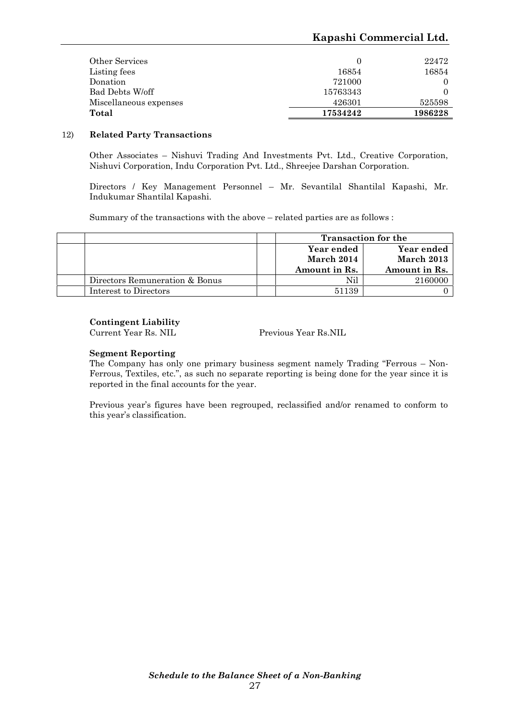### **Kapashi Commercial Ltd.**

| Total                  | 17534242 | 1986228 |
|------------------------|----------|---------|
| Miscellaneous expenses | 426301   | 525598  |
| Bad Debts W/off        | 15763343 | 0       |
| Donation               | 721000   |         |
| Listing fees           | 16854    | 16854   |
| Other Services         |          | 22472   |

#### 12) **Related Party Transactions**

Other Associates – Nishuvi Trading And Investments Pvt. Ltd., Creative Corporation, Nishuvi Corporation, Indu Corporation Pvt. Ltd., Shreejee Darshan Corporation.

Directors / Key Management Personnel – Mr. Sevantilal Shantilal Kapashi, Mr. Indukumar Shantilal Kapashi.

Summary of the transactions with the above – related parties are as follows :

|                                |                                                      | <b>Transaction for the</b> |  |
|--------------------------------|------------------------------------------------------|----------------------------|--|
|                                | Year ended<br>Year ended<br>March 2014<br>March 2013 |                            |  |
|                                |                                                      |                            |  |
|                                | Amount in Rs.                                        | Amount in Rs.              |  |
| Directors Remuneration & Bonus | Nil                                                  | 2160000                    |  |
| Interest to Directors          | 51139                                                |                            |  |

#### **Contingent Liability**

Current Year Rs. NIL Previous Year Rs.NIL

#### **Segment Reporting**

The Company has only one primary business segment namely Trading "Ferrous – Non- Ferrous, Textiles, etc.", as such no separate reporting is being done for the year since it is reported in the final accounts for the year.

Previous year's figures have been regrouped, reclassified and/or renamed to conform to this year's classification.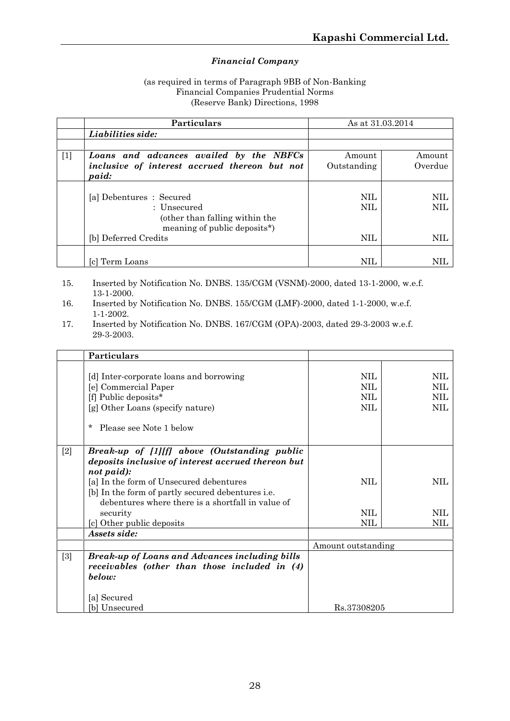### *Financial Company*

#### (as required in terms of Paragraph 9BB of Non-Banking Financial Companies Prudential Norms (Reserve Bank) Directions, 1998

| Particulars                                      | As at 31.03.2014 |            |
|--------------------------------------------------|------------------|------------|
| Liabilities side:                                |                  |            |
|                                                  |                  |            |
| $[1]$<br>Loans and advances availed by the NBFCs | Amount           | Amount     |
| inclusive of interest accrued thereon but not    | Outstanding      | Overdue    |
| paid:                                            |                  |            |
|                                                  |                  |            |
| [a] Debentures : Secured                         | NIL.             | NIL.       |
| : Unsecured                                      | NIL.             | NIL.       |
| (other than falling within the                   |                  |            |
| meaning of public deposits*)                     |                  |            |
| [b] Deferred Credits                             | NIL.             | NIL        |
|                                                  |                  |            |
| [c] Term Loans                                   | NIL              | <b>NIL</b> |

- 15. Inserted by Notification No. DNBS. 135/CGM (VSNM)-2000, dated 13-1-2000, w.e.f. 13-1-2000.
- 16. Inserted by Notification No. DNBS. 155/CGM (LMF)-2000, dated 1-1-2000, w.e.f. 1-1-2002.
- 17. Inserted by Notification No. DNBS. 167/CGM (OPA)-2003, dated 29-3-2003 w.e.f. 29-3-2003.

|       | Particulars                                                                                                                                                                                                                                                                       |                                               |                                               |
|-------|-----------------------------------------------------------------------------------------------------------------------------------------------------------------------------------------------------------------------------------------------------------------------------------|-----------------------------------------------|-----------------------------------------------|
|       | [d] Inter-corporate loans and borrowing<br>[e] Commercial Paper<br>[f] Public deposits*<br>[g] Other Loans (specify nature)<br>Please see Note 1 below<br>$\ast$                                                                                                                  | <b>NIL</b><br><b>NIL</b><br><b>NIL</b><br>NIL | <b>NIL</b><br><b>NIL</b><br><b>NIL</b><br>NIL |
| $[2]$ | Break-up of [1][f] above (Outstanding public<br>deposits inclusive of interest accrued thereon but<br>not paid):<br>[a] In the form of Unsecured debentures<br>[b] In the form of partly secured debentures i.e.<br>debentures where there is a shortfall in value of<br>security | NIL<br><b>NIL</b>                             | <b>NIL</b><br><b>NIL</b>                      |
|       | [c] Other public deposits                                                                                                                                                                                                                                                         | <b>NIL</b>                                    | NIL                                           |
|       | Assets side:                                                                                                                                                                                                                                                                      |                                               |                                               |
|       |                                                                                                                                                                                                                                                                                   | Amount outstanding                            |                                               |
| $[3]$ | <b>Break-up of Loans and Advances including bills</b><br>receivables (other than those included in (4)<br>below:                                                                                                                                                                  |                                               |                                               |
|       | [a] Secured                                                                                                                                                                                                                                                                       |                                               |                                               |
|       | [b] Unsecured                                                                                                                                                                                                                                                                     | Rs.37308205                                   |                                               |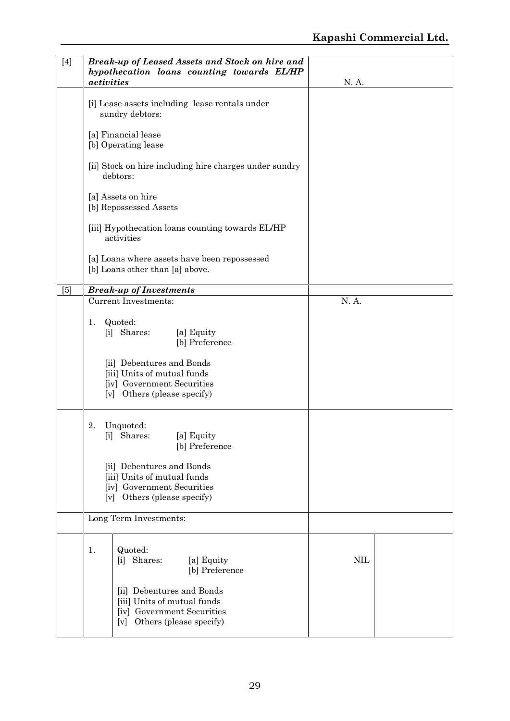| $[4]$ | Break-up of Leased Assets and Stock on hire and<br>hypothecation loans counting towards EL/HP<br>activities              | N. A.      |
|-------|--------------------------------------------------------------------------------------------------------------------------|------------|
|       | [i] Lease assets including lease rentals under<br>sundry debtors:                                                        |            |
|       | [a] Financial lease<br>[b] Operating lease                                                                               |            |
|       | [ii] Stock on hire including hire charges under sundry<br>debtors:                                                       |            |
|       | [a] Assets on hire<br>[b] Repossessed Assets                                                                             |            |
|       | [iii] Hypothecation loans counting towards EL/HP<br>activities                                                           |            |
|       | [a] Loans where assets have been repossessed<br>[b] Loans other than [a] above.                                          |            |
| [5]   | <b>Break-up of Investments</b>                                                                                           |            |
|       | <b>Current Investments:</b>                                                                                              | N.A.       |
|       | Quoted:<br>1.<br>[i] Shares:<br>[a] Equity<br>[b] Preference                                                             |            |
|       | [ii] Debentures and Bonds<br>[iii] Units of mutual funds<br>[iv] Government Securities<br>[v] Others (please specify)    |            |
|       | Unquoted:<br>2.<br>[i] Shares:<br>[a] Equity<br>[b] Preference                                                           |            |
|       | [ii] Debentures and Bonds<br>[iii] Units of mutual funds<br>[iv] Government Securities<br>[v] Others (please specify)    |            |
|       | Long Term Investments:                                                                                                   |            |
|       | Quoted:<br>1.<br>Shares:<br>[i]<br>[a] Equity<br>[b] Preference                                                          | <b>NIL</b> |
|       | [ii] Debentures and Bonds<br>[iii] Units of mutual funds<br>[iv] Government Securities<br>Others (please specify)<br>[v] |            |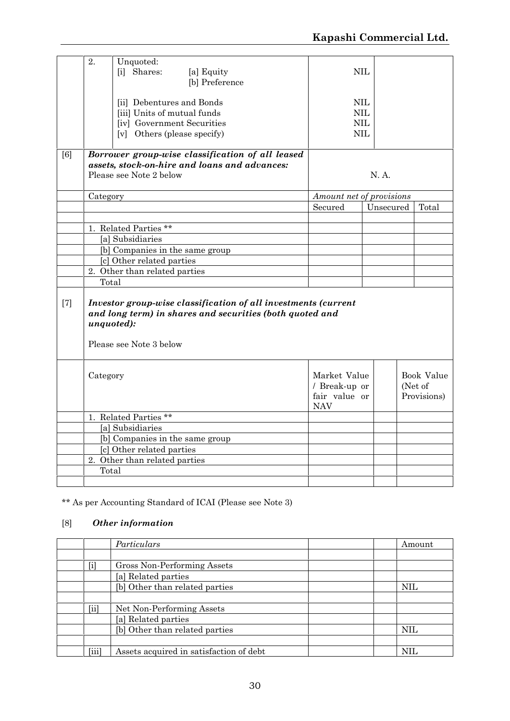|       | 2.                        | Unquoted:<br>[i] Shares:                                                                                              | [a] Equity<br>[b] Preference                                                                                               |                                                              | NIL                                                      |           |                                      |
|-------|---------------------------|-----------------------------------------------------------------------------------------------------------------------|----------------------------------------------------------------------------------------------------------------------------|--------------------------------------------------------------|----------------------------------------------------------|-----------|--------------------------------------|
|       |                           | [ii] Debentures and Bonds<br>[iii] Units of mutual funds<br>[iv] Government Securities<br>[v] Others (please specify) |                                                                                                                            |                                                              | $\text{NIL}$<br>$\text{NIL}$<br><b>NIL</b><br><b>NIL</b> |           |                                      |
| [6]   |                           | Please see Note 2 below                                                                                               | Borrower group-wise classification of all leased<br>assets, stock-on-hire and loans and advances:                          |                                                              |                                                          | N. A.     |                                      |
|       | Category                  |                                                                                                                       |                                                                                                                            | Amount net of provisions                                     |                                                          |           |                                      |
|       |                           |                                                                                                                       |                                                                                                                            | Secured                                                      |                                                          | Unsecured | Total                                |
|       |                           | 1. Related Parties **                                                                                                 |                                                                                                                            |                                                              |                                                          |           |                                      |
|       |                           | [a] Subsidiaries                                                                                                      |                                                                                                                            |                                                              |                                                          |           |                                      |
|       |                           | [b] Companies in the same group                                                                                       |                                                                                                                            |                                                              |                                                          |           |                                      |
|       | [c] Other related parties |                                                                                                                       |                                                                                                                            |                                                              |                                                          |           |                                      |
|       |                           |                                                                                                                       |                                                                                                                            |                                                              |                                                          |           |                                      |
|       |                           | 2. Other than related parties                                                                                         |                                                                                                                            |                                                              |                                                          |           |                                      |
|       | Total                     |                                                                                                                       |                                                                                                                            |                                                              |                                                          |           |                                      |
| $[7]$ |                           | unquoted):<br>Please see Note 3 below                                                                                 | Investor group-wise classification of all investments (current<br>and long term) in shares and securities (both quoted and |                                                              |                                                          |           |                                      |
|       | Category                  |                                                                                                                       |                                                                                                                            | Market Value<br>/ Break-up or<br>fair value or<br><b>NAV</b> |                                                          |           | Book Value<br>(Net of<br>Provisions) |
|       |                           | 1. Related Parties **                                                                                                 |                                                                                                                            |                                                              |                                                          |           |                                      |
|       |                           | [a] Subsidiaries                                                                                                      |                                                                                                                            |                                                              |                                                          |           |                                      |
|       |                           | [b] Companies in the same group                                                                                       |                                                                                                                            |                                                              |                                                          |           |                                      |
|       |                           | [c] Other related parties                                                                                             |                                                                                                                            |                                                              |                                                          |           |                                      |
|       | Total                     | 2. Other than related parties                                                                                         |                                                                                                                            |                                                              |                                                          |           |                                      |

\*\* As per Accounting Standard of ICAI (Please see Note 3)

# [8] *Other information*

|       | Particulars                             | Amount     |
|-------|-----------------------------------------|------------|
|       |                                         |            |
| $[1]$ | Gross Non-Performing Assets             |            |
|       | [a] Related parties                     |            |
|       | [b] Other than related parties          | <b>NIL</b> |
|       |                                         |            |
| [ii]  | Net Non-Performing Assets               |            |
|       | [a] Related parties                     |            |
|       | [b] Other than related parties          | <b>NIL</b> |
|       |                                         |            |
| [iii] | Assets acquired in satisfaction of debt | NH.        |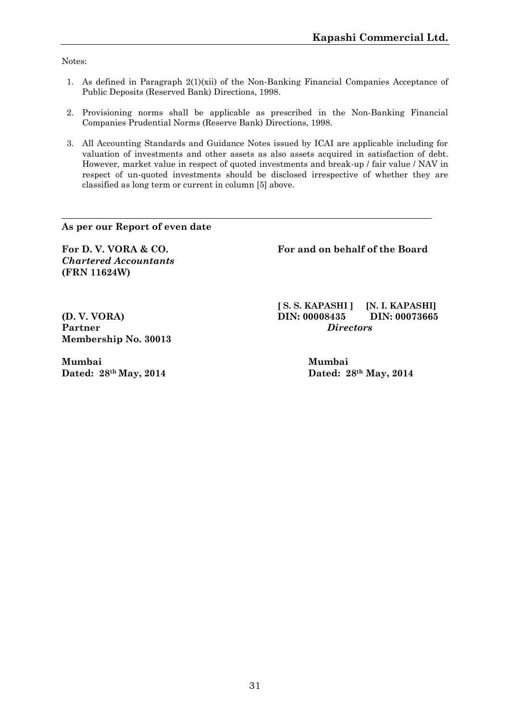Notes:

- 1. As defined in Paragraph  $2(1)(xii)$  of the Non-Banking Financial Companies Acceptance of Public Deposits (Reserved Bank) Directions, 1998.
- 2. Provisioning norms shall be applicable as prescribed in the Non-Banking Financial Companies Prudential Norms (Reserve Bank) Directions, 1998.
- 3. All Accounting Standards and Guidance Notes issued by ICAI are applicable including for valuation of investments and other assets as also assets acquired in satisfaction of debt. However, market value in respect of quoted investments and break-up / fair value / NAV in respect of un-quoted investments should be disclosed irrespective of whether they are classified as long term or current in column [5] above.

**As per our Report of even date**

*Chartered Accountants* **(FRN 11624W)**

**For D. V. VORA & CO. For and on behalf of the Board**

**Partner** *Directors* **Membership No. 30013**

**Mumbai Mumbai Dated: 28th May, 2014 Dated: 28th May, 2014**

**[ S. S. KAPASHI ] [N. I. KAPASHI] (D. V. VORA) DIN: 00008435 DIN: 00073665**